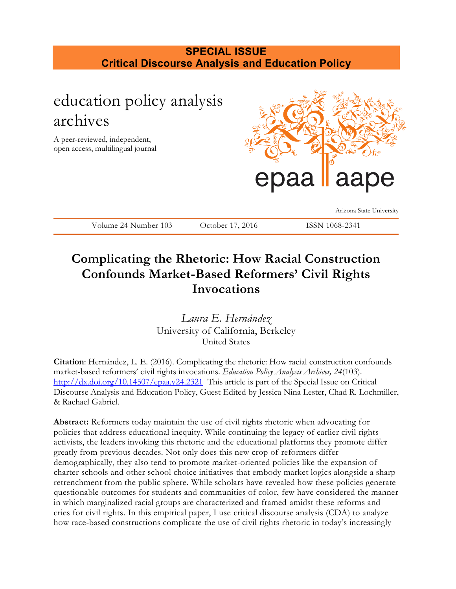## **SPECIAL ISSUE Critical Discourse Analysis and Education Policy**

# education policy analysis archives

A peer-reviewed, independent, open access, multilingual journal



Arizona State University

| $24$ Num<br>1 U 3<br>$\mathsf{v}\mathsf{v}$ | $\Delta$ |  |
|---------------------------------------------|----------|--|
|                                             |          |  |

## **Complicating the Rhetoric: How Racial Construction Confounds Market-Based Reformers' Civil Rights Invocations**

*Laura E. Hernández* University of California, Berkeley United States

**Citation**: Hernández, L. E. (2016). Complicating the rhetoric: How racial construction confounds market-based reformers' civil rights invocations. *Education Policy Analysis Archives, 24*(103). <http://dx.doi.org/10.14507/epaa.v24.2321>This article is part of the Special Issue on Critical Discourse Analysis and Education Policy, Guest Edited by Jessica Nina Lester, Chad R. Lochmiller, & Rachael Gabriel.

**Abstract:** Reformers today maintain the use of civil rights rhetoric when advocating for policies that address educational inequity. While continuing the legacy of earlier civil rights activists, the leaders invoking this rhetoric and the educational platforms they promote differ greatly from previous decades. Not only does this new crop of reformers differ demographically, they also tend to promote market-oriented policies like the expansion of charter schools and other school choice initiatives that embody market logics alongside a sharp retrenchment from the public sphere. While scholars have revealed how these policies generate questionable outcomes for students and communities of color, few have considered the manner in which marginalized racial groups are characterized and framed amidst these reforms and cries for civil rights. In this empirical paper, I use critical discourse analysis (CDA) to analyze how race-based constructions complicate the use of civil rights rhetoric in today's increasingly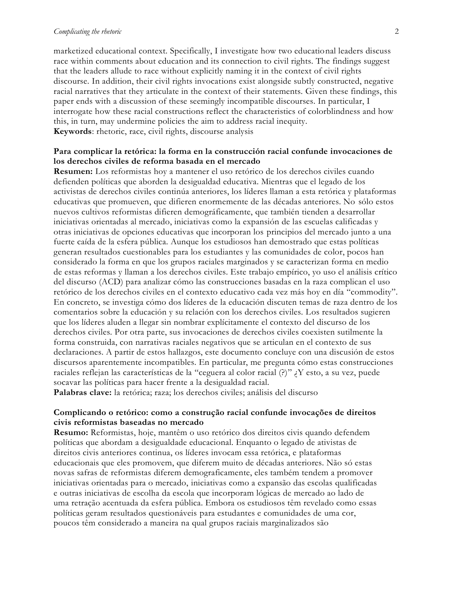#### *Complicating the rhetoric* 2

marketized educational context. Specifically, I investigate how two educational leaders discuss race within comments about education and its connection to civil rights. The findings suggest that the leaders allude to race without explicitly naming it in the context of civil rights discourse. In addition, their civil rights invocations exist alongside subtly constructed, negative racial narratives that they articulate in the context of their statements. Given these findings, this paper ends with a discussion of these seemingly incompatible discourses. In particular, I interrogate how these racial constructions reflect the characteristics of colorblindness and how this, in turn, may undermine policies the aim to address racial inequity. **Keywords**: rhetoric, race, civil rights, discourse analysis

#### **Para complicar la retórica: la forma en la construcción racial confunde invocaciones de los derechos civiles de reforma basada en el mercado**

**Resumen:** Los reformistas hoy a mantener el uso retórico de los derechos civiles cuando defienden políticas que aborden la desigualdad educativa. Mientras que el legado de los activistas de derechos civiles continúa anteriores, los líderes llaman a esta retórica y plataformas educativas que promueven, que difieren enormemente de las décadas anteriores. No sólo estos nuevos cultivos reformistas difieren demográficamente, que también tienden a desarrollar iniciativas orientadas al mercado, iniciativas como la expansión de las escuelas calificadas y otras iniciativas de opciones educativas que incorporan los principios del mercado junto a una fuerte caída de la esfera pública. Aunque los estudiosos han demostrado que estas políticas generan resultados cuestionables para los estudiantes y las comunidades de color, pocos han considerado la forma en que los grupos raciales marginados y se caracterizan forma en medio de estas reformas y llaman a los derechos civiles. Este trabajo empírico, yo uso el análisis crítico del discurso (ACD) para analizar cómo las construcciones basadas en la raza complican el uso retórico de los derechos civiles en el contexto educativo cada vez más hoy en día "commodity". En concreto, se investiga cómo dos líderes de la educación discuten temas de raza dentro de los comentarios sobre la educación y su relación con los derechos civiles. Los resultados sugieren que los líderes aluden a llegar sin nombrar explícitamente el contexto del discurso de los derechos civiles. Por otra parte, sus invocaciones de derechos civiles coexisten sutilmente la forma construida, con narrativas raciales negativos que se articulan en el contexto de sus declaraciones. A partir de estos hallazgos, este documento concluye con una discusión de estos discursos aparentemente incompatibles. En particular, me pregunta cómo estas construcciones raciales reflejan las características de la "ceguera al color racial (?)" ¿Y esto, a su vez, puede socavar las políticas para hacer frente a la desigualdad racial.

**Palabras clave:** la retórica; raza; los derechos civiles; análisis del discurso

#### **Complicando o retórico: como a construção racial confunde invocações de direitos civis reformistas baseadas no mercado**

**Resumo:** Reformistas, hoje, mantêm o uso retórico dos direitos civis quando defendem políticas que abordam a desigualdade educacional. Enquanto o legado de ativistas de direitos civis anteriores continua, os líderes invocam essa retórica, e plataformas educacionais que eles promovem, que diferem muito de décadas anteriores. Não só estas novas safras de reformistas diferem demograficamente, eles também tendem a promover iniciativas orientadas para o mercado, iniciativas como a expansão das escolas qualificadas e outras iniciativas de escolha da escola que incorporam lógicas de mercado ao lado de uma retração acentuada da esfera pública. Embora os estudiosos têm revelado como essas políticas geram resultados questionáveis para estudantes e comunidades de uma cor, poucos têm considerado a maneira na qual grupos raciais marginalizados são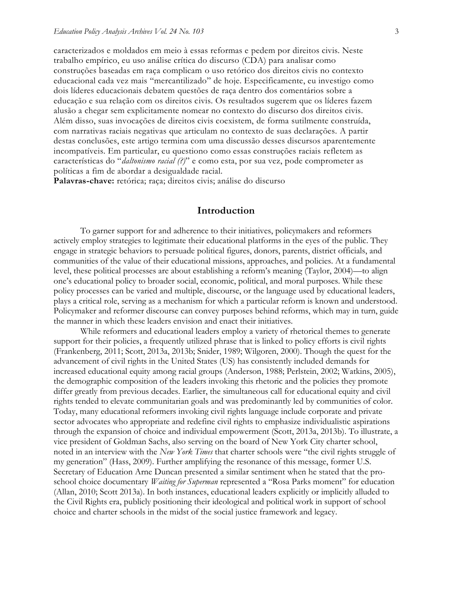caracterizados e moldados em meio à essas reformas e pedem por direitos civis. Neste trabalho empírico, eu uso análise crítica do discurso (CDA) para analisar como construções baseadas em raça complicam o uso retórico dos direitos civis no contexto educacional cada vez mais "mercantilizado" de hoje. Especificamente, eu investigo como dois líderes educacionais debatem questões de raça dentro dos comentários sobre a educação e sua relação com os direitos civis. Os resultados sugerem que os líderes fazem alusão a chegar sem explicitamente nomear no contexto do discurso dos direitos civis. Além disso, suas invocações de direitos civis coexistem, de forma sutilmente construída, com narrativas raciais negativas que articulam no contexto de suas declarações. A partir destas conclusões, este artigo termina com uma discussão desses discursos aparentemente incompatíveis. Em particular, eu questiono como essas construções raciais refletem as características do "*daltonismo racial (?)*" e como esta, por sua vez, pode comprometer as políticas a fim de abordar a desigualdade racial.

**Palavras-chave:** retórica; raça; direitos civis; análise do discurso

#### **Introduction**

To garner support for and adherence to their initiatives, policymakers and reformers actively employ strategies to legitimate their educational platforms in the eyes of the public. They engage in strategic behaviors to persuade political figures, donors, parents, district officials, and communities of the value of their educational missions, approaches, and policies. At a fundamental level, these political processes are about establishing a reform's meaning (Taylor, 2004)—to align one's educational policy to broader social, economic, political, and moral purposes. While these policy processes can be varied and multiple, discourse, or the language used by educational leaders, plays a critical role, serving as a mechanism for which a particular reform is known and understood. Policymaker and reformer discourse can convey purposes behind reforms, which may in turn, guide the manner in which these leaders envision and enact their initiatives.

While reformers and educational leaders employ a variety of rhetorical themes to generate support for their policies, a frequently utilized phrase that is linked to policy efforts is civil rights (Frankenberg, 2011; Scott, 2013a, 2013b; Snider, 1989; Wilgoren, 2000). Though the quest for the advancement of civil rights in the United States (US) has consistently included demands for increased educational equity among racial groups (Anderson, 1988; Perlstein, 2002; Watkins, 2005), the demographic composition of the leaders invoking this rhetoric and the policies they promote differ greatly from previous decades. Earlier, the simultaneous call for educational equity and civil rights tended to elevate communitarian goals and was predominantly led by communities of color. Today, many educational reformers invoking civil rights language include corporate and private sector advocates who appropriate and redefine civil rights to emphasize individualistic aspirations through the expansion of choice and individual empowerment (Scott, 2013a, 2013b). To illustrate, a vice president of Goldman Sachs, also serving on the board of New York City charter school, noted in an interview with the *New York Times* that charter schools were "the civil rights struggle of my generation" (Hass, 2009). Further amplifying the resonance of this message, former U.S. Secretary of Education Arne Duncan presented a similar sentiment when he stated that the proschool choice documentary *Waiting for Superman* represented a "Rosa Parks moment" for education (Allan, 2010; Scott 2013a). In both instances, educational leaders explicitly or implicitly alluded to the Civil Rights era, publicly positioning their ideological and political work in support of school choice and charter schools in the midst of the social justice framework and legacy.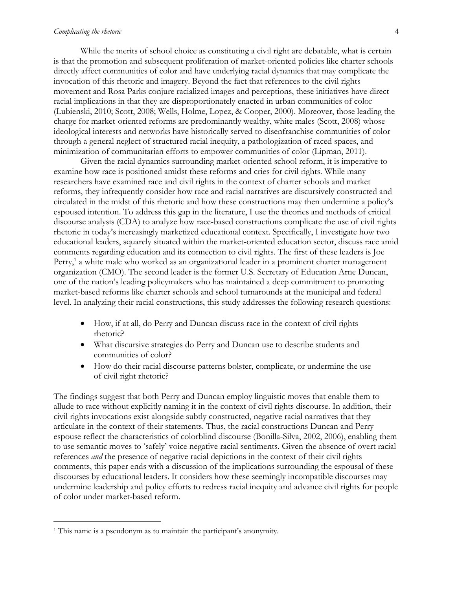#### *Complicating the rhetoric* 4

While the merits of school choice as constituting a civil right are debatable, what is certain is that the promotion and subsequent proliferation of market-oriented policies like charter schools directly affect communities of color and have underlying racial dynamics that may complicate the invocation of this rhetoric and imagery. Beyond the fact that references to the civil rights movement and Rosa Parks conjure racialized images and perceptions, these initiatives have direct racial implications in that they are disproportionately enacted in urban communities of color (Lubienski, 2010; Scott, 2008; Wells, Holme, Lopez, & Cooper, 2000). Moreover, those leading the charge for market-oriented reforms are predominantly wealthy, white males (Scott, 2008) whose ideological interests and networks have historically served to disenfranchise communities of color through a general neglect of structured racial inequity, a pathologization of raced spaces, and minimization of communitarian efforts to empower communities of color (Lipman, 2011).

Given the racial dynamics surrounding market-oriented school reform, it is imperative to examine how race is positioned amidst these reforms and cries for civil rights. While many researchers have examined race and civil rights in the context of charter schools and market reforms, they infrequently consider how race and racial narratives are discursively constructed and circulated in the midst of this rhetoric and how these constructions may then undermine a policy's espoused intention. To address this gap in the literature, I use the theories and methods of critical discourse analysis (CDA) to analyze how race-based constructions complicate the use of civil rights rhetoric in today's increasingly marketized educational context. Specifically, I investigate how two educational leaders, squarely situated within the market-oriented education sector, discuss race amid comments regarding education and its connection to civil rights. The first of these leaders is Joe Perry,<sup>1</sup> a white male who worked as an organizational leader in a prominent charter management organization (CMO). The second leader is the former U.S. Secretary of Education Arne Duncan, one of the nation's leading policymakers who has maintained a deep commitment to promoting market-based reforms like charter schools and school turnarounds at the municipal and federal level. In analyzing their racial constructions, this study addresses the following research questions:

- How, if at all, do Perry and Duncan discuss race in the context of civil rights rhetoric?
- What discursive strategies do Perry and Duncan use to describe students and communities of color?
- How do their racial discourse patterns bolster, complicate, or undermine the use of civil right rhetoric?

The findings suggest that both Perry and Duncan employ linguistic moves that enable them to allude to race without explicitly naming it in the context of civil rights discourse. In addition, their civil rights invocations exist alongside subtly constructed, negative racial narratives that they articulate in the context of their statements. Thus, the racial constructions Duncan and Perry espouse reflect the characteristics of colorblind discourse (Bonilla-Silva, 2002, 2006), enabling them to use semantic moves to 'safely' voice negative racial sentiments. Given the absence of overt racial references *and* the presence of negative racial depictions in the context of their civil rights comments, this paper ends with a discussion of the implications surrounding the espousal of these discourses by educational leaders. It considers how these seemingly incompatible discourses may undermine leadership and policy efforts to redress racial inequity and advance civil rights for people of color under market-based reform.

 $\overline{a}$ 

<sup>1</sup> This name is a pseudonym as to maintain the participant's anonymity.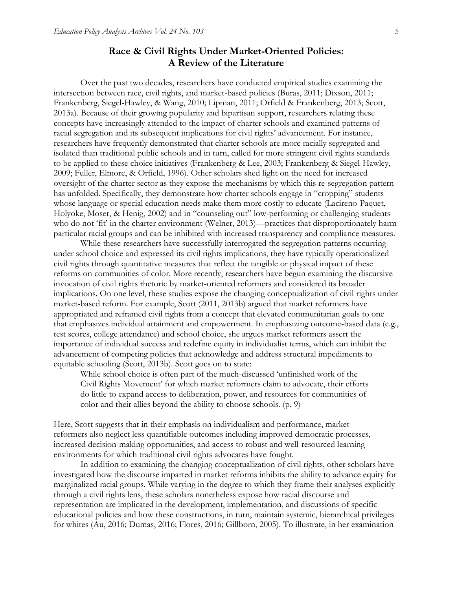## **Race & Civil Rights Under Market-Oriented Policies: A Review of the Literature**

Over the past two decades, researchers have conducted empirical studies examining the intersection between race, civil rights, and market-based policies (Buras, 2011; Dixson, 2011; Frankenberg, Siegel-Hawley, & Wang, 2010; Lipman, 2011; Orfield & Frankenberg, 2013; Scott, 2013a). Because of their growing popularity and bipartisan support, researchers relating these concepts have increasingly attended to the impact of charter schools and examined patterns of racial segregation and its subsequent implications for civil rights' advancement. For instance, researchers have frequently demonstrated that charter schools are more racially segregated and isolated than traditional public schools and in turn, called for more stringent civil rights standards to be applied to these choice initiatives (Frankenberg & Lee, 2003; Frankenberg & Siegel-Hawley, 2009; Fuller, Elmore, & Orfield, 1996). Other scholars shed light on the need for increased oversight of the charter sector as they expose the mechanisms by which this re-segregation pattern has unfolded. Specifically, they demonstrate how charter schools engage in "cropping" students whose language or special education needs make them more costly to educate (Lacireno-Paquet, Holyoke, Moser, & Henig, 2002) and in "counseling out" low-performing or challenging students who do not 'fit' in the charter environment (Welner, 2013)—practices that disproportionately harm particular racial groups and can be inhibited with increased transparency and compliance measures.

While these researchers have successfully interrogated the segregation patterns occurring under school choice and expressed its civil rights implications, they have typically operationalized civil rights through quantitative measures that reflect the tangible or physical impact of these reforms on communities of color. More recently, researchers have begun examining the discursive invocation of civil rights rhetoric by market-oriented reformers and considered its broader implications. On one level, these studies expose the changing conceptualization of civil rights under market-based reform. For example, Scott (2011, 2013b) argued that market reformers have appropriated and reframed civil rights from a concept that elevated communitarian goals to one that emphasizes individual attainment and empowerment. In emphasizing outcome-based data (e.g., test scores, college attendance) and school choice, she argues market reformers assert the importance of individual success and redefine equity in individualist terms, which can inhibit the advancement of competing policies that acknowledge and address structural impediments to equitable schooling (Scott, 2013b). Scott goes on to state:

While school choice is often part of the much-discussed 'unfinished work of the Civil Rights Movement' for which market reformers claim to advocate, their efforts do little to expand access to deliberation, power, and resources for communities of color and their allies beyond the ability to choose schools. (p. 9)

Here, Scott suggests that in their emphasis on individualism and performance, market reformers also neglect less quantifiable outcomes including improved democratic processes, increased decision-making opportunities, and access to robust and well-resourced learning environments for which traditional civil rights advocates have fought.

In addition to examining the changing conceptualization of civil rights, other scholars have investigated how the discourse imparted in market reforms inhibits the ability to advance equity for marginalized racial groups. While varying in the degree to which they frame their analyses explicitly through a civil rights lens, these scholars nonetheless expose how racial discourse and representation are implicated in the development, implementation, and discussions of specific educational policies and how these constructions, in turn, maintain systemic, hierarchical privileges for whites (Au, 2016; Dumas, 2016; Flores, 2016; Gillborn, 2005). To illustrate, in her examination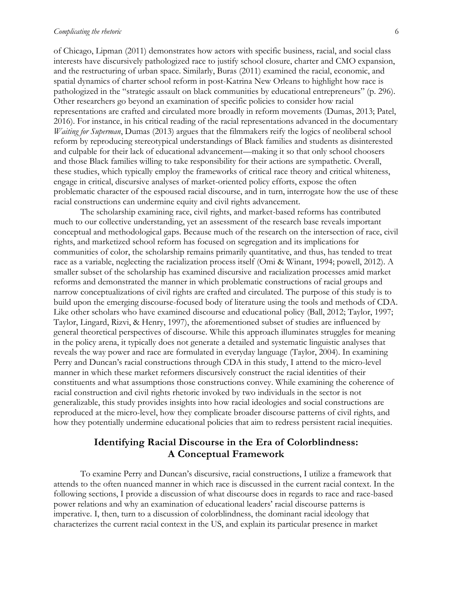#### *Complicating the rhetoric* 6

of Chicago, Lipman (2011) demonstrates how actors with specific business, racial, and social class interests have discursively pathologized race to justify school closure, charter and CMO expansion, and the restructuring of urban space. Similarly, Buras (2011) examined the racial, economic, and spatial dynamics of charter school reform in post-Katrina New Orleans to highlight how race is pathologized in the "strategic assault on black communities by educational entrepreneurs" (p. 296). Other researchers go beyond an examination of specific policies to consider how racial representations are crafted and circulated more broadly in reform movements (Dumas, 2013; Patel, 2016). For instance, in his critical reading of the racial representations advanced in the documentary *Waiting for Superman*, Dumas (2013) argues that the filmmakers reify the logics of neoliberal school reform by reproducing stereotypical understandings of Black families and students as disinterested and culpable for their lack of educational advancement—making it so that only school choosers and those Black families willing to take responsibility for their actions are sympathetic. Overall, these studies, which typically employ the frameworks of critical race theory and critical whiteness, engage in critical, discursive analyses of market-oriented policy efforts, expose the often problematic character of the espoused racial discourse, and in turn, interrogate how the use of these racial constructions can undermine equity and civil rights advancement.

The scholarship examining race, civil rights, and market-based reforms has contributed much to our collective understanding, yet an assessment of the research base reveals important conceptual and methodological gaps. Because much of the research on the intersection of race, civil rights, and marketized school reform has focused on segregation and its implications for communities of color, the scholarship remains primarily quantitative, and thus, has tended to treat race as a variable, neglecting the racialization process itself (Omi & Winant, 1994; powell, 2012). A smaller subset of the scholarship has examined discursive and racialization processes amid market reforms and demonstrated the manner in which problematic constructions of racial groups and narrow conceptualizations of civil rights are crafted and circulated. The purpose of this study is to build upon the emerging discourse-focused body of literature using the tools and methods of CDA. Like other scholars who have examined discourse and educational policy (Ball, 2012; Taylor, 1997; Taylor, Lingard, Rizvi, & Henry, 1997), the aforementioned subset of studies are influenced by general theoretical perspectives of discourse. While this approach illuminates struggles for meaning in the policy arena, it typically does not generate a detailed and systematic linguistic analyses that reveals the way power and race are formulated in everyday language (Taylor, 2004). In examining Perry and Duncan's racial constructions through CDA in this study, I attend to the micro-level manner in which these market reformers discursively construct the racial identities of their constituents and what assumptions those constructions convey. While examining the coherence of racial construction and civil rights rhetoric invoked by two individuals in the sector is not generalizable, this study provides insights into how racial ideologies and social constructions are reproduced at the micro-level, how they complicate broader discourse patterns of civil rights, and how they potentially undermine educational policies that aim to redress persistent racial inequities.

## **Identifying Racial Discourse in the Era of Colorblindness: A Conceptual Framework**

To examine Perry and Duncan's discursive, racial constructions, I utilize a framework that attends to the often nuanced manner in which race is discussed in the current racial context. In the following sections, I provide a discussion of what discourse does in regards to race and race-based power relations and why an examination of educational leaders' racial discourse patterns is imperative. I, then, turn to a discussion of colorblindness, the dominant racial ideology that characterizes the current racial context in the US, and explain its particular presence in market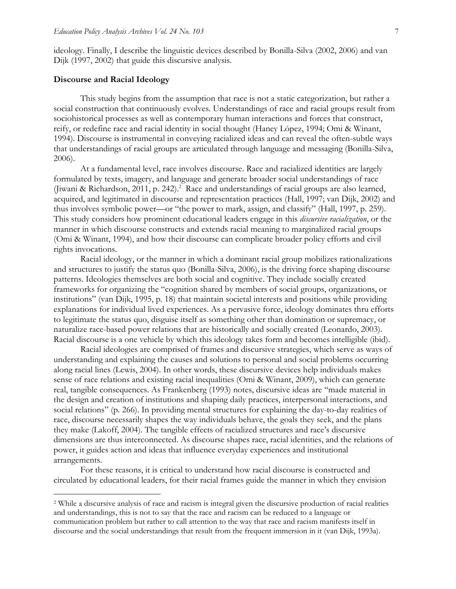ideology. Finally, I describe the linguistic devices described by Bonilla-Silva (2002, 2006) and van Dijk (1997, 2002) that guide this discursive analysis.

#### **Discourse and Racial Ideology**

 $\overline{a}$ 

This study begins from the assumption that race is not a static categorization, but rather a social construction that continuously evolves. Understandings of race and racial groups result from sociohistorical processes as well as contemporary human interactions and forces that construct, reify, or redefine race and racial identity in social thought (Haney López, 1994; Omi & Winant, 1994). Discourse is instrumental in conveying racialized ideas and can reveal the often-subtle ways that understandings of racial groups are articulated through language and messaging (Bonilla-Silva, 2006).

At a fundamental level, race involves discourse. Race and racialized identities are largely formulated by texts, imagery, and language and generate broader social understandings of race (Jiwani & Richardson, 2011, p. 242). <sup>2</sup> Race and understandings of racial groups are also learned, acquired, and legitimated in discourse and representation practices (Hall, 1997; van Dijk, 2002) and thus involves symbolic power—or "the power to mark, assign, and classify" (Hall, 1997, p. 259). This study considers how prominent educational leaders engage in this *discursive racialization*, or the manner in which discourse constructs and extends racial meaning to marginalized racial groups (Omi & Winant, 1994), and how their discourse can complicate broader policy efforts and civil rights invocations.

Racial ideology, or the manner in which a dominant racial group mobilizes rationalizations and structures to justify the status quo (Bonilla-Silva, 2006), is the driving force shaping discourse patterns. Ideologies themselves are both social and cognitive. They include socially created frameworks for organizing the "cognition shared by members of social groups, organizations, or institutions" (van Dijk, 1995, p. 18) that maintain societal interests and positions while providing explanations for individual lived experiences. As a pervasive force, ideology dominates thru efforts to legitimate the status quo, disguise itself as something other than domination or supremacy, or naturalize race-based power relations that are historically and socially created (Leonardo, 2003). Racial discourse is a one vehicle by which this ideology takes form and becomes intelligible (ibid).

Racial ideologies are comprised of frames and discursive strategies, which serve as ways of understanding and explaining the causes and solutions to personal and social problems occurring along racial lines (Lewis, 2004). In other words, these discursive devices help individuals makes sense of race relations and existing racial inequalities (Omi & Winant, 2009), which can generate real, tangible consequences. As Frankenberg (1993) notes, discursive ideas are "made material in the design and creation of institutions and shaping daily practices, interpersonal interactions, and social relations" (p. 266). In providing mental structures for explaining the day-to-day realities of race, discourse necessarily shapes the way individuals behave, the goals they seek, and the plans they make (Lakoff, 2004). The tangible effects of racialized structures and race's discursive dimensions are thus interconnected. As discourse shapes race, racial identities, and the relations of power, it guides action and ideas that influence everyday experiences and institutional arrangements.

For these reasons, it is critical to understand how racial discourse is constructed and circulated by educational leaders, for their racial frames guide the manner in which they envision

<sup>2</sup> While a discursive analysis of race and racism is integral given the discursive production of racial realities and understandings, this is not to say that the race and racism can be reduced to a language or communication problem but rather to call attention to the way that race and racism manifests itself in discourse and the social understandings that result from the frequent immersion in it (van Dijk, 1993a).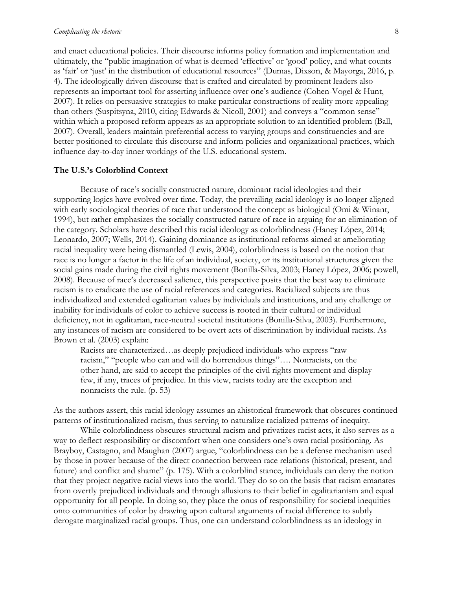#### *Complicating the rhetoric* 8

and enact educational policies. Their discourse informs policy formation and implementation and ultimately, the "public imagination of what is deemed 'effective' or 'good' policy, and what counts as 'fair' or 'just' in the distribution of educational resources" (Dumas, Dixson, & Mayorga, 2016, p. 4). The ideologically driven discourse that is crafted and circulated by prominent leaders also represents an important tool for asserting influence over one's audience (Cohen-Vogel & Hunt, 2007). It relies on persuasive strategies to make particular constructions of reality more appealing than others (Suspitsyna, 2010, citing Edwards & Nicoll, 2001) and conveys a "common sense" within which a proposed reform appears as an appropriate solution to an identified problem (Ball, 2007). Overall, leaders maintain preferential access to varying groups and constituencies and are better positioned to circulate this discourse and inform policies and organizational practices, which influence day-to-day inner workings of the U.S. educational system.

#### **The U.S.'s Colorblind Context**

Because of race's socially constructed nature, dominant racial ideologies and their supporting logics have evolved over time. Today, the prevailing racial ideology is no longer aligned with early sociological theories of race that understood the concept as biological (Omi & Winant, 1994), but rather emphasizes the socially constructed nature of race in arguing for an elimination of the category. Scholars have described this racial ideology as colorblindness (Haney López, 2014; Leonardo, 2007; Wells, 2014). Gaining dominance as institutional reforms aimed at ameliorating racial inequality were being dismantled (Lewis, 2004), colorblindness is based on the notion that race is no longer a factor in the life of an individual, society, or its institutional structures given the social gains made during the civil rights movement (Bonilla-Silva, 2003; Haney López, 2006; powell, 2008). Because of race's decreased salience, this perspective posits that the best way to eliminate racism is to eradicate the use of racial references and categories. Racialized subjects are thus individualized and extended egalitarian values by individuals and institutions, and any challenge or inability for individuals of color to achieve success is rooted in their cultural or individual deficiency, not in egalitarian, race-neutral societal institutions (Bonilla-Silva, 2003). Furthermore, any instances of racism are considered to be overt acts of discrimination by individual racists. As Brown et al. (2003) explain:

Racists are characterized…as deeply prejudiced individuals who express "raw racism," "people who can and will do horrendous things"…. Nonracists, on the other hand, are said to accept the principles of the civil rights movement and display few, if any, traces of prejudice. In this view, racists today are the exception and nonracists the rule. (p. 53)

As the authors assert, this racial ideology assumes an ahistorical framework that obscures continued patterns of institutionalized racism, thus serving to naturalize racialized patterns of inequity.

While colorblindness obscures structural racism and privatizes racist acts, it also serves as a way to deflect responsibility or discomfort when one considers one's own racial positioning. As Brayboy, Castagno, and Maughan (2007) argue, "colorblindness can be a defense mechanism used by those in power because of the direct connection between race relations (historical, present, and future) and conflict and shame" (p. 175). With a colorblind stance, individuals can deny the notion that they project negative racial views into the world. They do so on the basis that racism emanates from overtly prejudiced individuals and through allusions to their belief in egalitarianism and equal opportunity for all people. In doing so, they place the onus of responsibility for societal inequities onto communities of color by drawing upon cultural arguments of racial difference to subtly derogate marginalized racial groups. Thus, one can understand colorblindness as an ideology in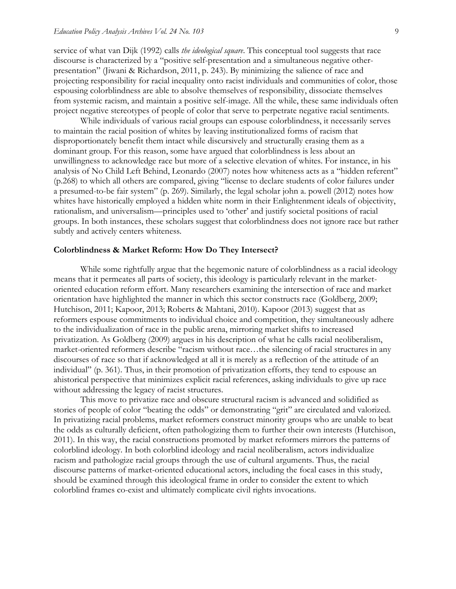service of what van Dijk (1992) calls *the ideological square*. This conceptual tool suggests that race discourse is characterized by a "positive self-presentation and a simultaneous negative otherpresentation" (Jiwani & Richardson, 2011, p. 243). By minimizing the salience of race and projecting responsibility for racial inequality onto racist individuals and communities of color, those espousing colorblindness are able to absolve themselves of responsibility, dissociate themselves from systemic racism, and maintain a positive self-image. All the while, these same individuals often project negative stereotypes of people of color that serve to perpetrate negative racial sentiments.

While individuals of various racial groups can espouse colorblindness, it necessarily serves to maintain the racial position of whites by leaving institutionalized forms of racism that disproportionately benefit them intact while discursively and structurally erasing them as a dominant group. For this reason, some have argued that colorblindness is less about an unwillingness to acknowledge race but more of a selective elevation of whites. For instance, in his analysis of No Child Left Behind, Leonardo (2007) notes how whiteness acts as a "hidden referent" (p.268) to which all others are compared, giving "license to declare students of color failures under a presumed-to-be fair system" (p. 269). Similarly, the legal scholar john a. powell (2012) notes how whites have historically employed a hidden white norm in their Enlightenment ideals of objectivity, rationalism, and universalism—principles used to 'other' and justify societal positions of racial groups. In both instances, these scholars suggest that colorblindness does not ignore race but rather subtly and actively centers whiteness.

#### **Colorblindness & Market Reform: How Do They Intersect?**

While some rightfully argue that the hegemonic nature of colorblindness as a racial ideology means that it permeates all parts of society, this ideology is particularly relevant in the marketoriented education reform effort. Many researchers examining the intersection of race and market orientation have highlighted the manner in which this sector constructs race (Goldberg, 2009; Hutchison, 2011; Kapoor, 2013; Roberts & Mahtani, 2010). Kapoor (2013) suggest that as reformers espouse commitments to individual choice and competition, they simultaneously adhere to the individualization of race in the public arena, mirroring market shifts to increased privatization. As Goldberg (2009) argues in his description of what he calls racial neoliberalism, market-oriented reformers describe "racism without race…the silencing of racial structures in any discourses of race so that if acknowledged at all it is merely as a reflection of the attitude of an individual" (p. 361). Thus, in their promotion of privatization efforts, they tend to espouse an ahistorical perspective that minimizes explicit racial references, asking individuals to give up race without addressing the legacy of racist structures.

This move to privatize race and obscure structural racism is advanced and solidified as stories of people of color "beating the odds" or demonstrating "grit" are circulated and valorized. In privatizing racial problems, market reformers construct minority groups who are unable to beat the odds as culturally deficient, often pathologizing them to further their own interests (Hutchison, 2011). In this way, the racial constructions promoted by market reformers mirrors the patterns of colorblind ideology. In both colorblind ideology and racial neoliberalism, actors individualize racism and pathologize racial groups through the use of cultural arguments. Thus, the racial discourse patterns of market-oriented educational actors, including the focal cases in this study, should be examined through this ideological frame in order to consider the extent to which colorblind frames co-exist and ultimately complicate civil rights invocations.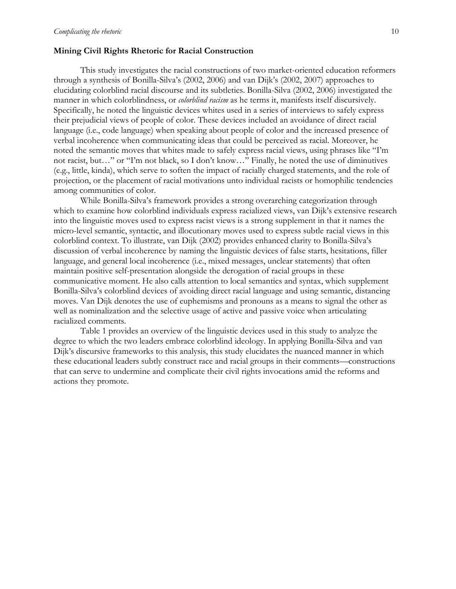#### **Mining Civil Rights Rhetoric for Racial Construction**

This study investigates the racial constructions of two market-oriented education reformers through a synthesis of Bonilla-Silva's (2002, 2006) and van Dijk's (2002, 2007) approaches to elucidating colorblind racial discourse and its subtleties. Bonilla-Silva (2002, 2006) investigated the manner in which colorblindness, or *colorblind racism* as he terms it, manifests itself discursively. Specifically, he noted the linguistic devices whites used in a series of interviews to safely express their prejudicial views of people of color. These devices included an avoidance of direct racial language (i.e., code language) when speaking about people of color and the increased presence of verbal incoherence when communicating ideas that could be perceived as racial. Moreover, he noted the semantic moves that whites made to safely express racial views, using phrases like "I'm not racist, but…" or "I'm not black, so I don't know…" Finally, he noted the use of diminutives (e.g., little, kinda), which serve to soften the impact of racially charged statements, and the role of projection, or the placement of racial motivations unto individual racists or homophilic tendencies among communities of color.

While Bonilla-Silva's framework provides a strong overarching categorization through which to examine how colorblind individuals express racialized views, van Dijk's extensive research into the linguistic moves used to express racist views is a strong supplement in that it names the micro-level semantic, syntactic, and illocutionary moves used to express subtle racial views in this colorblind context. To illustrate, van Dijk (2002) provides enhanced clarity to Bonilla-Silva's discussion of verbal incoherence by naming the linguistic devices of false starts, hesitations, filler language, and general local incoherence (i.e., mixed messages, unclear statements) that often maintain positive self-presentation alongside the derogation of racial groups in these communicative moment. He also calls attention to local semantics and syntax, which supplement Bonilla-Silva's colorblind devices of avoiding direct racial language and using semantic, distancing moves. Van Dijk denotes the use of euphemisms and pronouns as a means to signal the other as well as nominalization and the selective usage of active and passive voice when articulating racialized comments.

Table 1 provides an overview of the linguistic devices used in this study to analyze the degree to which the two leaders embrace colorblind ideology. In applying Bonilla-Silva and van Dijk's discursive frameworks to this analysis, this study elucidates the nuanced manner in which these educational leaders subtly construct race and racial groups in their comments—constructions that can serve to undermine and complicate their civil rights invocations amid the reforms and actions they promote.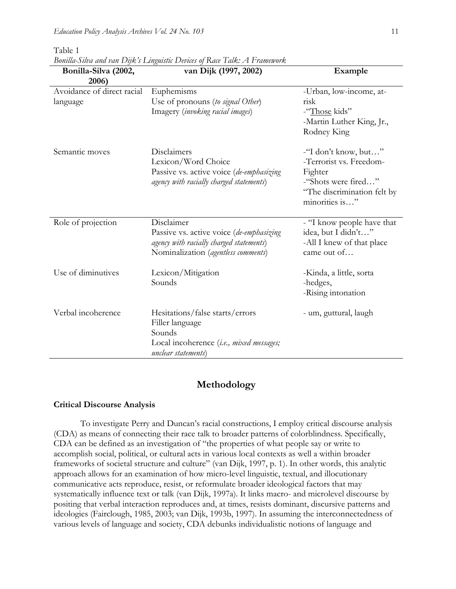Table 1

*Bonilla-Silva and van Dijk's Linguistic Devices of Race Talk: A Framework*

| Bonilla-Silva (2002,       | van Dijk (1997, 2002)                    | Example                                  |
|----------------------------|------------------------------------------|------------------------------------------|
| 2006)                      |                                          |                                          |
| Avoidance of direct racial | Euphemisms                               | -Urban, low-income, at-                  |
| language                   | Use of pronouns (to signal Other)        | risk                                     |
|                            | Imagery (invoking racial images)         | -"Those kids"                            |
|                            |                                          | -Martin Luther King, Jr.,                |
|                            |                                          | Rodney King                              |
| Semantic moves             | Disclaimers                              | -"I don't know, but"                     |
|                            | Lexicon/Word Choice                      | -Terrorist vs. Freedom-                  |
|                            | Passive vs. active voice (de-emphasizing | Fighter                                  |
|                            | agency with racially charged statements) | -"Shots were fired"                      |
|                            |                                          | "The discrimination felt by              |
|                            |                                          | minorities is"                           |
|                            |                                          |                                          |
| Role of projection         | Disclaimer                               | - "I know people have that               |
|                            | Passive vs. active voice (de-emphasizing | idea, but I didn't"                      |
|                            | agency with racially charged statements) | -All I knew of that place<br>came out of |
|                            | Nominalization (agentless comments)      |                                          |
| Use of diminutives         | Lexicon/Mitigation                       | -Kinda, a little, sorta                  |
|                            | Sounds                                   | -hedges,                                 |
|                            |                                          | -Rising intonation                       |
| Verbal incoherence         | Hesitations/false starts/errors          | - um, guttural, laugh                    |
|                            | Filler language                          |                                          |
|                            | Sounds                                   |                                          |
|                            | Local incoherence (i.e., mixed messages; |                                          |
|                            | unclear statements)                      |                                          |
|                            |                                          |                                          |

#### **Methodology**

#### **Critical Discourse Analysis**

To investigate Perry and Duncan's racial constructions, I employ critical discourse analysis (CDA) as means of connecting their race talk to broader patterns of colorblindness. Specifically, CDA can be defined as an investigation of "the properties of what people say or write to accomplish social, political, or cultural acts in various local contexts as well a within broader frameworks of societal structure and culture" (van Dijk, 1997, p. 1). In other words, this analytic approach allows for an examination of how micro-level linguistic, textual, and illocutionary communicative acts reproduce, resist, or reformulate broader ideological factors that may systematically influence text or talk (van Dijk, 1997a). It links macro- and microlevel discourse by positing that verbal interaction reproduces and, at times, resists dominant, discursive patterns and ideologies (Fairclough, 1985, 2003; van Dijk, 1993b, 1997). In assuming the interconnectedness of various levels of language and society, CDA debunks individualistic notions of language and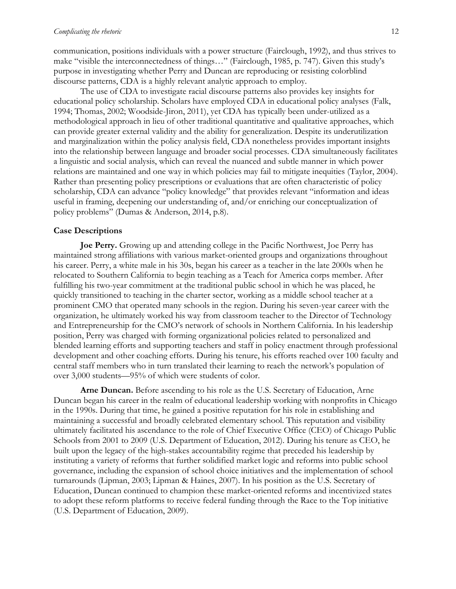communication, positions individuals with a power structure (Fairclough, 1992), and thus strives to make "visible the interconnectedness of things…" (Fairclough, 1985, p. 747). Given this study's purpose in investigating whether Perry and Duncan are reproducing or resisting colorblind discourse patterns, CDA is a highly relevant analytic approach to employ.

The use of CDA to investigate racial discourse patterns also provides key insights for educational policy scholarship. Scholars have employed CDA in educational policy analyses (Falk, 1994; Thomas, 2002; Woodside-Jiron, 2011), yet CDA has typically been under-utilized as a methodological approach in lieu of other traditional quantitative and qualitative approaches, which can provide greater external validity and the ability for generalization. Despite its underutilization and marginalization within the policy analysis field, CDA nonetheless provides important insights into the relationship between language and broader social processes. CDA simultaneously facilitates a linguistic and social analysis, which can reveal the nuanced and subtle manner in which power relations are maintained and one way in which policies may fail to mitigate inequities (Taylor, 2004). Rather than presenting policy prescriptions or evaluations that are often characteristic of policy scholarship, CDA can advance "policy knowledge" that provides relevant "information and ideas useful in framing, deepening our understanding of, and/or enriching our conceptualization of policy problems" (Dumas & Anderson, 2014, p.8).

#### **Case Descriptions**

**Joe Perry.** Growing up and attending college in the Pacific Northwest, Joe Perry has maintained strong affiliations with various market-oriented groups and organizations throughout his career. Perry, a white male in his 30s, began his career as a teacher in the late 2000s when he relocated to Southern California to begin teaching as a Teach for America corps member. After fulfilling his two-year commitment at the traditional public school in which he was placed, he quickly transitioned to teaching in the charter sector, working as a middle school teacher at a prominent CMO that operated many schools in the region. During his seven-year career with the organization, he ultimately worked his way from classroom teacher to the Director of Technology and Entrepreneurship for the CMO's network of schools in Northern California. In his leadership position, Perry was charged with forming organizational policies related to personalized and blended learning efforts and supporting teachers and staff in policy enactment through professional development and other coaching efforts. During his tenure, his efforts reached over 100 faculty and central staff members who in turn translated their learning to reach the network's population of over 3,000 students—95% of which were students of color.

**Arne Duncan.** Before ascending to his role as the U.S. Secretary of Education, Arne Duncan began his career in the realm of educational leadership working with nonprofits in Chicago in the 1990s. During that time, he gained a positive reputation for his role in establishing and maintaining a successful and broadly celebrated elementary school. This reputation and visibility ultimately facilitated his ascendance to the role of Chief Executive Office (CEO) of Chicago Public Schools from 2001 to 2009 (U.S. Department of Education, 2012). During his tenure as CEO, he built upon the legacy of the high-stakes accountability regime that preceded his leadership by instituting a variety of reforms that further solidified market logic and reforms into public school governance, including the expansion of school choice initiatives and the implementation of school turnarounds (Lipman, 2003; Lipman & Haines, 2007). In his position as the U.S. Secretary of Education, Duncan continued to champion these market-oriented reforms and incentivized states to adopt these reform platforms to receive federal funding through the Race to the Top initiative (U.S. Department of Education, 2009).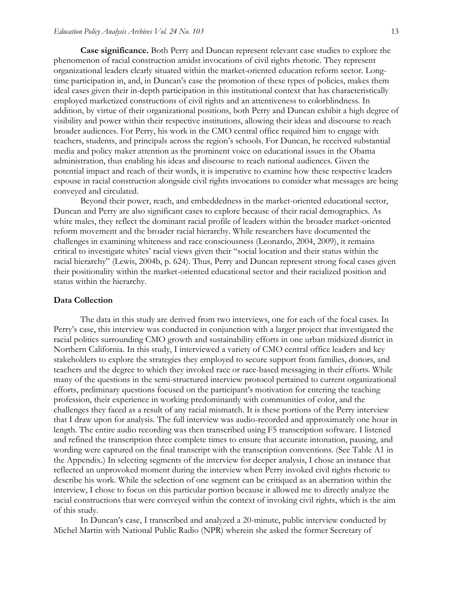**Case significance.** Both Perry and Duncan represent relevant case studies to explore the phenomenon of racial construction amidst invocations of civil rights rhetoric. They represent organizational leaders clearly situated within the market-oriented education reform sector. Longtime participation in, and, in Duncan's case the promotion of these types of policies, makes them ideal cases given their in-depth participation in this institutional context that has characteristically employed marketized constructions of civil rights and an attentiveness to colorblindness. In addition, by virtue of their organizational positions, both Perry and Duncan exhibit a high degree of visibility and power within their respective institutions, allowing their ideas and discourse to reach broader audiences. For Perry, his work in the CMO central office required him to engage with teachers, students, and principals across the region's schools. For Duncan, he received substantial media and policy maker attention as the prominent voice on educational issues in the Obama administration, thus enabling his ideas and discourse to reach national audiences. Given the potential impact and reach of their words, it is imperative to examine how these respective leaders espouse in racial construction alongside civil rights invocations to consider what messages are being conveyed and circulated.

Beyond their power, reach, and embeddedness in the market-oriented educational sector, Duncan and Perry are also significant cases to explore because of their racial demographics. As white males, they reflect the dominant racial profile of leaders within the broader market-oriented reform movement and the broader racial hierarchy. While researchers have documented the challenges in examining whiteness and race consciousness (Leonardo, 2004, 2009), it remains critical to investigate whites' racial views given their "social location and their status within the racial hierarchy" (Lewis, 2004b, p. 624). Thus, Perry and Duncan represent strong focal cases given their positionality within the market-oriented educational sector and their racialized position and status within the hierarchy.

#### **Data Collection**

The data in this study are derived from two interviews, one for each of the focal cases. In Perry's case, this interview was conducted in conjunction with a larger project that investigated the racial politics surrounding CMO growth and sustainability efforts in one urban midsized district in Northern California. In this study, I interviewed a variety of CMO central office leaders and key stakeholders to explore the strategies they employed to secure support from families, donors, and teachers and the degree to which they invoked race or race-based messaging in their efforts. While many of the questions in the semi-structured interview protocol pertained to current organizational efforts, preliminary questions focused on the participant's motivation for entering the teaching profession, their experience in working predominantly with communities of color, and the challenges they faced as a result of any racial mismatch. It is these portions of the Perry interview that I draw upon for analysis. The full interview was audio-recorded and approximately one hour in length. The entire audio recording was then transcribed using F5 transcription software. I listened and refined the transcription three complete times to ensure that accurate intonation, pausing, and wording were captured on the final transcript with the transcription conventions. (See Table A1 in the Appendix.) In selecting segments of the interview for deeper analysis, I chose an instance that reflected an unprovoked moment during the interview when Perry invoked civil rights rhetoric to describe his work. While the selection of one segment can be critiqued as an aberration within the interview, I chose to focus on this particular portion because it allowed me to directly analyze the racial constructions that were conveyed within the context of invoking civil rights, which is the aim of this study.

In Duncan's case, I transcribed and analyzed a 20-minute, public interview conducted by Michel Martin with National Public Radio (NPR) wherein she asked the former Secretary of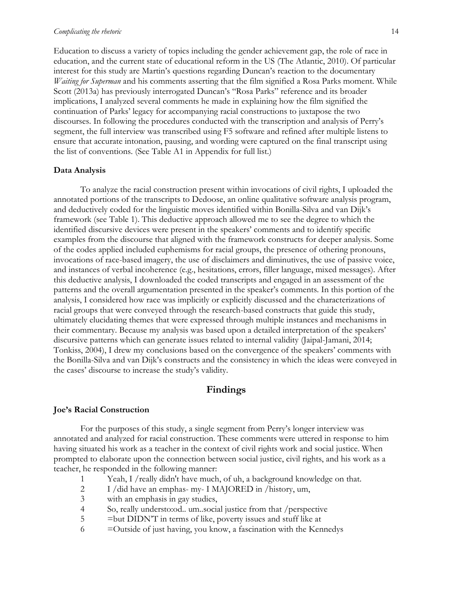#### *Complicating the rhetoric* 14

Education to discuss a variety of topics including the gender achievement gap, the role of race in education, and the current state of educational reform in the US (The Atlantic, 2010). Of particular interest for this study are Martin's questions regarding Duncan's reaction to the documentary *Waiting for Superman* and his comments asserting that the film signified a Rosa Parks moment. While Scott (2013a) has previously interrogated Duncan's "Rosa Parks" reference and its broader implications, I analyzed several comments he made in explaining how the film signified the continuation of Parks' legacy for accompanying racial constructions to juxtapose the two discourses. In following the procedures conducted with the transcription and analysis of Perry's segment, the full interview was transcribed using F5 software and refined after multiple listens to ensure that accurate intonation, pausing, and wording were captured on the final transcript using the list of conventions. (See Table A1 in Appendix for full list.)

#### **Data Analysis**

To analyze the racial construction present within invocations of civil rights, I uploaded the annotated portions of the transcripts to Dedoose, an online qualitative software analysis program, and deductively coded for the linguistic moves identified within Bonilla-Silva and van Dijk's framework (see Table 1). This deductive approach allowed me to see the degree to which the identified discursive devices were present in the speakers' comments and to identify specific examples from the discourse that aligned with the framework constructs for deeper analysis. Some of the codes applied included euphemisms for racial groups, the presence of othering pronouns, invocations of race-based imagery, the use of disclaimers and diminutives, the use of passive voice, and instances of verbal incoherence (e.g., hesitations, errors, filler language, mixed messages). After this deductive analysis, I downloaded the coded transcripts and engaged in an assessment of the patterns and the overall argumentation presented in the speaker's comments. In this portion of the analysis, I considered how race was implicitly or explicitly discussed and the characterizations of racial groups that were conveyed through the research-based constructs that guide this study, ultimately elucidating themes that were expressed through multiple instances and mechanisms in their commentary. Because my analysis was based upon a detailed interpretation of the speakers' discursive patterns which can generate issues related to internal validity (Jaipal-Jamani, 2014; Tonkiss, 2004), I drew my conclusions based on the convergence of the speakers' comments with the Bonilla-Silva and van Dijk's constructs and the consistency in which the ideas were conveyed in the cases' discourse to increase the study's validity.

#### **Findings**

#### **Joe's Racial Construction**

For the purposes of this study, a single segment from Perry's longer interview was annotated and analyzed for racial construction. These comments were uttered in response to him having situated his work as a teacher in the context of civil rights work and social justice. When prompted to elaborate upon the connection between social justice, civil rights, and his work as a teacher, he responded in the following manner:

- 1 Yeah, I /really didn't have much, of uh, a background knowledge on that.
- 2 I /did have an emphas- my- I MAJORED in /history, um,
- 3 with an emphasis in gay studies,
- 4 So, really understo:od.. um..social justice from that /perspective
- 5 = but DIDN'T in terms of like, poverty issues and stuff like at
- $6 =$ Outside of just having, you know, a fascination with the Kennedys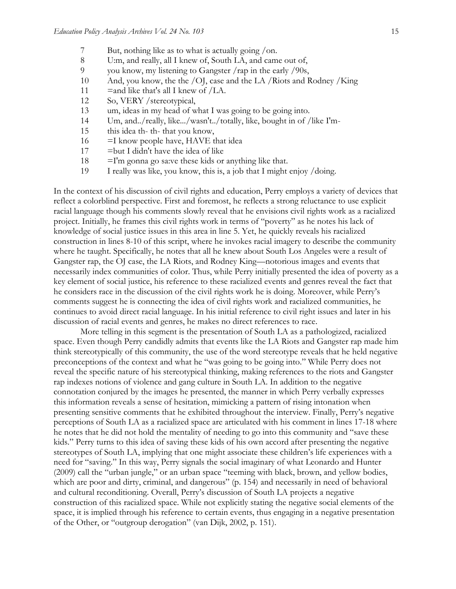- 7 But, nothing like as to what is actually going /on.
- 8 U:m, and really, all I knew of, South LA, and came out of,<br>9 vou know, my listening to Gangster /rap in the early /90s.
- 9 you know, my listening to Gangster /rap in the early /90s,
- 10 And, you know, the the /OJ, case and the LA /Riots and Rodney /King
- 11 = and like that's all I knew of  $/LA$ .
- 12 So, VERY /stereotypical,
- 13 um, ideas in my head of what I was going to be going into.
- 14 Um, and../really, like.../wasn't../totally, like, bought in of /like I'm-
- 15 this idea th- th- that you know,
- $16 = I$  know people have, HAVE that idea
- $17$  = but I didn't have the idea of like
- $18$  =I'm gonna go sa:ve these kids or anything like that.
- 19 I really was like, you know, this is, a job that I might enjoy /doing.

In the context of his discussion of civil rights and education, Perry employs a variety of devices that reflect a colorblind perspective. First and foremost, he reflects a strong reluctance to use explicit racial language though his comments slowly reveal that he envisions civil rights work as a racialized project. Initially, he frames this civil rights work in terms of "poverty" as he notes his lack of knowledge of social justice issues in this area in line 5. Yet, he quickly reveals his racialized construction in lines 8-10 of this script, where he invokes racial imagery to describe the community where he taught. Specifically, he notes that all he knew about South Los Angeles were a result of Gangster rap, the OJ case, the LA Riots, and Rodney King—notorious images and events that necessarily index communities of color. Thus, while Perry initially presented the idea of poverty as a key element of social justice, his reference to these racialized events and genres reveal the fact that he considers race in the discussion of the civil rights work he is doing. Moreover, while Perry's comments suggest he is connecting the idea of civil rights work and racialized communities, he continues to avoid direct racial language. In his initial reference to civil right issues and later in his discussion of racial events and genres, he makes no direct references to race.

More telling in this segment is the presentation of South LA as a pathologized, racialized space. Even though Perry candidly admits that events like the LA Riots and Gangster rap made him think stereotypically of this community, the use of the word stereotype reveals that he held negative preconceptions of the context and what he "was going to be going into." While Perry does not reveal the specific nature of his stereotypical thinking, making references to the riots and Gangster rap indexes notions of violence and gang culture in South LA. In addition to the negative connotation conjured by the images he presented, the manner in which Perry verbally expresses this information reveals a sense of hesitation, mimicking a pattern of rising intonation when presenting sensitive comments that he exhibited throughout the interview. Finally, Perry's negative perceptions of South LA as a racialized space are articulated with his comment in lines 17-18 where he notes that he did not hold the mentality of needing to go into this community and "save these kids." Perry turns to this idea of saving these kids of his own accord after presenting the negative stereotypes of South LA, implying that one might associate these children's life experiences with a need for "saving." In this way, Perry signals the social imaginary of what Leonardo and Hunter (2009) call the "urban jungle," or an urban space "teeming with black, brown, and yellow bodies, which are poor and dirty, criminal, and dangerous" (p. 154) and necessarily in need of behavioral and cultural reconditioning. Overall, Perry's discussion of South LA projects a negative construction of this racialized space. While not explicitly stating the negative social elements of the space, it is implied through his reference to certain events, thus engaging in a negative presentation of the Other, or "outgroup derogation" (van Dijk, 2002, p. 151).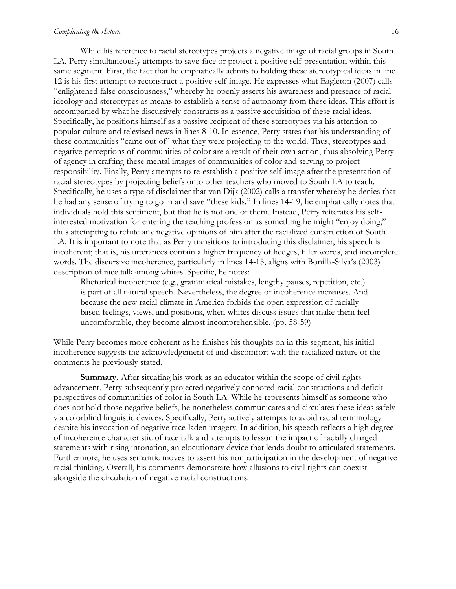#### *Complicating the rhetoric* 16

While his reference to racial stereotypes projects a negative image of racial groups in South LA, Perry simultaneously attempts to save-face or project a positive self-presentation within this same segment. First, the fact that he emphatically admits to holding these stereotypical ideas in line 12 is his first attempt to reconstruct a positive self-image. He expresses what Eagleton (2007) calls "enlightened false consciousness," whereby he openly asserts his awareness and presence of racial ideology and stereotypes as means to establish a sense of autonomy from these ideas. This effort is accompanied by what he discursively constructs as a passive acquisition of these racial ideas. Specifically, he positions himself as a passive recipient of these stereotypes via his attention to popular culture and televised news in lines 8-10. In essence, Perry states that his understanding of these communities "came out of" what they were projecting to the world. Thus, stereotypes and negative perceptions of communities of color are a result of their own action, thus absolving Perry of agency in crafting these mental images of communities of color and serving to project responsibility. Finally, Perry attempts to re-establish a positive self-image after the presentation of racial stereotypes by projecting beliefs onto other teachers who moved to South LA to teach. Specifically, he uses a type of disclaimer that van Dijk (2002) calls a transfer whereby he denies that he had any sense of trying to go in and save "these kids." In lines 14-19, he emphatically notes that individuals hold this sentiment, but that he is not one of them. Instead, Perry reiterates his selfinterested motivation for entering the teaching profession as something he might "enjoy doing," thus attempting to refute any negative opinions of him after the racialized construction of South LA. It is important to note that as Perry transitions to introducing this disclaimer, his speech is incoherent; that is, his utterances contain a higher frequency of hedges, filler words, and incomplete words. The discursive incoherence, particularly in lines 14-15, aligns with Bonilla-Silva's (2003) description of race talk among whites. Specific, he notes:

Rhetorical incoherence (e.g., grammatical mistakes, lengthy pauses, repetition, etc.) is part of all natural speech. Nevertheless, the degree of incoherence increases. And because the new racial climate in America forbids the open expression of racially based feelings, views, and positions, when whites discuss issues that make them feel uncomfortable, they become almost incomprehensible. (pp. 58-59)

While Perry becomes more coherent as he finishes his thoughts on in this segment, his initial incoherence suggests the acknowledgement of and discomfort with the racialized nature of the comments he previously stated.

**Summary.** After situating his work as an educator within the scope of civil rights advancement, Perry subsequently projected negatively connoted racial constructions and deficit perspectives of communities of color in South LA. While he represents himself as someone who does not hold those negative beliefs, he nonetheless communicates and circulates these ideas safely via colorblind linguistic devices. Specifically, Perry actively attempts to avoid racial terminology despite his invocation of negative race-laden imagery. In addition, his speech reflects a high degree of incoherence characteristic of race talk and attempts to lesson the impact of racially charged statements with rising intonation, an elocutionary device that lends doubt to articulated statements. Furthermore, he uses semantic moves to assert his nonparticipation in the development of negative racial thinking. Overall, his comments demonstrate how allusions to civil rights can coexist alongside the circulation of negative racial constructions.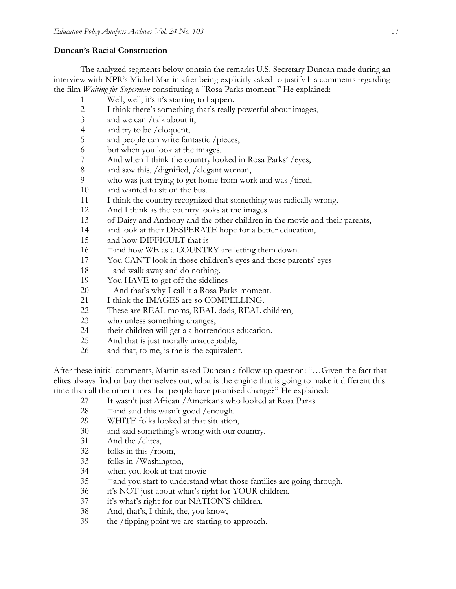#### **Duncan's Racial Construction**

The analyzed segments below contain the remarks U.S. Secretary Duncan made during an interview with NPR's Michel Martin after being explicitly asked to justify his comments regarding the film *Waiting for Superman* constituting a "Rosa Parks moment." He explained:

- Well, well, it's it's starting to happen.
- 2 I think there's something that's really powerful about images,<br>3 and we can /talk about it.
- and we can /talk about it,
- and try to be /eloquent,
- and people can write fantastic /pieces,
- but when you look at the images,
- And when I think the country looked in Rosa Parks' /eyes,
- and saw this, /dignified, /elegant woman,
- who was just trying to get home from work and was /tired,
- and wanted to sit on the bus.
- I think the country recognized that something was radically wrong.
- And I think as the country looks at the images
- of Daisy and Anthony and the other children in the movie and their parents,
- 14 and look at their DESPERATE hope for a better education,
- and how DIFFICULT that is
- 16 = and how WE as a COUNTRY are letting them down.
- You CAN'T look in those children's eyes and those parents' eyes
- 18  $=$  and walk away and do nothing.
- You HAVE to get off the sidelines
- = And that's why I call it a Rosa Parks moment.
- 21 I think the IMAGES are so COMPELLING.
- 22 These are REAL moms, REAL dads, REAL children,
- who unless something changes,
- their children will get a a horrendous education.
- And that is just morally unacceptable,
- and that, to me, is the is the equivalent.

After these initial comments, Martin asked Duncan a follow-up question: "…Given the fact that elites always find or buy themselves out, what is the engine that is going to make it different this time than all the other times that people have promised change?" He explained:

- It wasn't just African /Americans who looked at Rosa Parks
- 28  $=$  and said this wasn't good /enough.
- WHITE folks looked at that situation,
- and said something's wrong with our country.
- And the /elites,
- folks in this /room,
- folks in /Washington,
- when you look at that movie
- = and you start to understand what those families are going through,
- it's NOT just about what's right for YOUR children,
- it's what's right for our NATION'S children.
- And, that's, I think, the, you know,
- 39 the /tipping point we are starting to approach.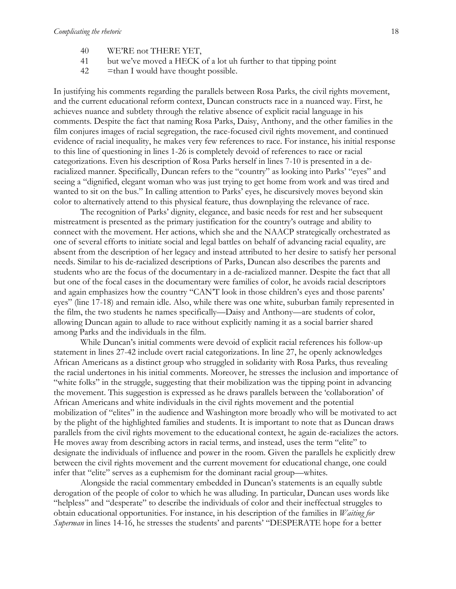- 40 WE'RE not THERE YET,
- 41 but we've moved a HECK of a lot uh further to that tipping point
- $42$  =than I would have thought possible.

In justifying his comments regarding the parallels between Rosa Parks, the civil rights movement, and the current educational reform context, Duncan constructs race in a nuanced way. First, he achieves nuance and subtlety through the relative absence of explicit racial language in his comments. Despite the fact that naming Rosa Parks, Daisy, Anthony, and the other families in the film conjures images of racial segregation, the race-focused civil rights movement, and continued evidence of racial inequality, he makes very few references to race. For instance, his initial response to this line of questioning in lines 1-26 is completely devoid of references to race or racial categorizations. Even his description of Rosa Parks herself in lines 7-10 is presented in a deracialized manner. Specifically, Duncan refers to the "country" as looking into Parks' "eyes" and seeing a "dignified, elegant woman who was just trying to get home from work and was tired and wanted to sit on the bus." In calling attention to Parks' eyes, he discursively moves beyond skin color to alternatively attend to this physical feature, thus downplaying the relevance of race.

The recognition of Parks' dignity, elegance, and basic needs for rest and her subsequent mistreatment is presented as the primary justification for the country's outrage and ability to connect with the movement. Her actions, which she and the NAACP strategically orchestrated as one of several efforts to initiate social and legal battles on behalf of advancing racial equality, are absent from the description of her legacy and instead attributed to her desire to satisfy her personal needs. Similar to his de-racialized descriptions of Parks, Duncan also describes the parents and students who are the focus of the documentary in a de-racialized manner. Despite the fact that all but one of the focal cases in the documentary were families of color, he avoids racial descriptors and again emphasizes how the country "CAN'T look in those children's eyes and those parents' eyes" (line 17-18) and remain idle. Also, while there was one white, suburban family represented in the film, the two students he names specifically—Daisy and Anthony—are students of color, allowing Duncan again to allude to race without explicitly naming it as a social barrier shared among Parks and the individuals in the film.

While Duncan's initial comments were devoid of explicit racial references his follow-up statement in lines 27-42 include overt racial categorizations. In line 27, he openly acknowledges African Americans as a distinct group who struggled in solidarity with Rosa Parks, thus revealing the racial undertones in his initial comments. Moreover, he stresses the inclusion and importance of "white folks" in the struggle, suggesting that their mobilization was the tipping point in advancing the movement. This suggestion is expressed as he draws parallels between the 'collaboration' of African Americans and white individuals in the civil rights movement and the potential mobilization of "elites" in the audience and Washington more broadly who will be motivated to act by the plight of the highlighted families and students. It is important to note that as Duncan draws parallels from the civil rights movement to the educational context, he again de-racializes the actors. He moves away from describing actors in racial terms, and instead, uses the term "elite" to designate the individuals of influence and power in the room. Given the parallels he explicitly drew between the civil rights movement and the current movement for educational change, one could infer that "elite" serves as a euphemism for the dominant racial group—whites.

Alongside the racial commentary embedded in Duncan's statements is an equally subtle derogation of the people of color to which he was alluding. In particular, Duncan uses words like "helpless" and "desperate" to describe the individuals of color and their ineffectual struggles to obtain educational opportunities. For instance, in his description of the families in *Waiting for Superman* in lines 14-16, he stresses the students' and parents' "DESPERATE hope for a better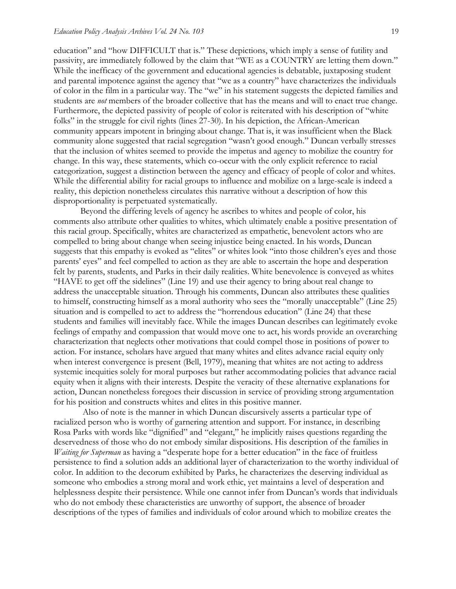education" and "how DIFFICULT that is." These depictions, which imply a sense of futility and passivity, are immediately followed by the claim that "WE as a COUNTRY are letting them down." While the inefficacy of the government and educational agencies is debatable, juxtaposing student and parental impotence against the agency that "we as a country" have characterizes the individuals of color in the film in a particular way. The "we" in his statement suggests the depicted families and students are *not* members of the broader collective that has the means and will to enact true change. Furthermore, the depicted passivity of people of color is reiterated with his description of "white folks" in the struggle for civil rights (lines 27-30). In his depiction, the African-American community appears impotent in bringing about change. That is, it was insufficient when the Black community alone suggested that racial segregation "wasn't good enough." Duncan verbally stresses that the inclusion of whites seemed to provide the impetus and agency to mobilize the country for change. In this way, these statements, which co-occur with the only explicit reference to racial categorization, suggest a distinction between the agency and efficacy of people of color and whites. While the differential ability for racial groups to influence and mobilize on a large-scale is indeed a reality, this depiction nonetheless circulates this narrative without a description of how this disproportionality is perpetuated systematically.

Beyond the differing levels of agency he ascribes to whites and people of color, his comments also attribute other qualities to whites, which ultimately enable a positive presentation of this racial group. Specifically, whites are characterized as empathetic, benevolent actors who are compelled to bring about change when seeing injustice being enacted. In his words, Duncan suggests that this empathy is evoked as "elites" or whites look "into those children's eyes and those parents' eyes" and feel compelled to action as they are able to ascertain the hope and desperation felt by parents, students, and Parks in their daily realities. White benevolence is conveyed as whites "HAVE to get off the sidelines" (Line 19) and use their agency to bring about real change to address the unacceptable situation. Through his comments, Duncan also attributes these qualities to himself, constructing himself as a moral authority who sees the "morally unacceptable" (Line 25) situation and is compelled to act to address the "horrendous education" (Line 24) that these students and families will inevitably face. While the images Duncan describes can legitimately evoke feelings of empathy and compassion that would move one to act, his words provide an overarching characterization that neglects other motivations that could compel those in positions of power to action. For instance, scholars have argued that many whites and elites advance racial equity only when interest convergence is present (Bell, 1979), meaning that whites are not acting to address systemic inequities solely for moral purposes but rather accommodating policies that advance racial equity when it aligns with their interests. Despite the veracity of these alternative explanations for action, Duncan nonetheless foregoes their discussion in service of providing strong argumentation for his position and constructs whites and elites in this positive manner.

Also of note is the manner in which Duncan discursively asserts a particular type of racialized person who is worthy of garnering attention and support. For instance, in describing Rosa Parks with words like "dignified" and "elegant," he implicitly raises questions regarding the deservedness of those who do not embody similar dispositions. His description of the families in *Waiting for Superman* as having a "desperate hope for a better education" in the face of fruitless persistence to find a solution adds an additional layer of characterization to the worthy individual of color. In addition to the decorum exhibited by Parks, he characterizes the deserving individual as someone who embodies a strong moral and work ethic, yet maintains a level of desperation and helplessness despite their persistence. While one cannot infer from Duncan's words that individuals who do not embody these characteristics are unworthy of support, the absence of broader descriptions of the types of families and individuals of color around which to mobilize creates the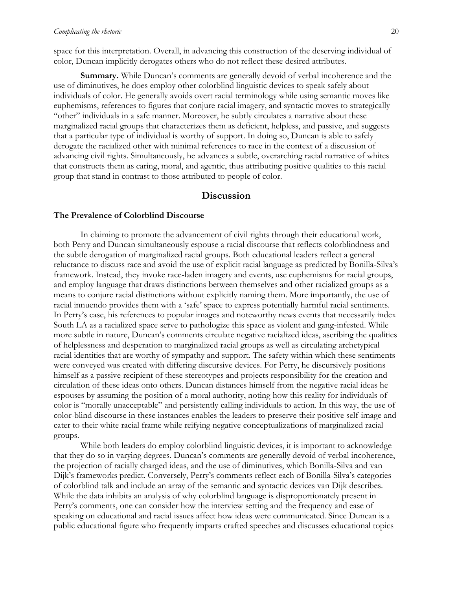space for this interpretation. Overall, in advancing this construction of the deserving individual of color, Duncan implicitly derogates others who do not reflect these desired attributes.

**Summary.** While Duncan's comments are generally devoid of verbal incoherence and the use of diminutives, he does employ other colorblind linguistic devices to speak safely about individuals of color. He generally avoids overt racial terminology while using semantic moves like euphemisms, references to figures that conjure racial imagery, and syntactic moves to strategically "other" individuals in a safe manner. Moreover, he subtly circulates a narrative about these marginalized racial groups that characterizes them as deficient, helpless, and passive, and suggests that a particular type of individual is worthy of support. In doing so, Duncan is able to safely derogate the racialized other with minimal references to race in the context of a discussion of advancing civil rights. Simultaneously, he advances a subtle, overarching racial narrative of whites that constructs them as caring, moral, and agentic, thus attributing positive qualities to this racial group that stand in contrast to those attributed to people of color.

#### **Discussion**

#### **The Prevalence of Colorblind Discourse**

In claiming to promote the advancement of civil rights through their educational work, both Perry and Duncan simultaneously espouse a racial discourse that reflects colorblindness and the subtle derogation of marginalized racial groups. Both educational leaders reflect a general reluctance to discuss race and avoid the use of explicit racial language as predicted by Bonilla-Silva's framework. Instead, they invoke race-laden imagery and events, use euphemisms for racial groups, and employ language that draws distinctions between themselves and other racialized groups as a means to conjure racial distinctions without explicitly naming them. More importantly, the use of racial innuendo provides them with a 'safe' space to express potentially harmful racial sentiments. In Perry's case, his references to popular images and noteworthy news events that necessarily index South LA as a racialized space serve to pathologize this space as violent and gang-infested. While more subtle in nature, Duncan's comments circulate negative racialized ideas, ascribing the qualities of helplessness and desperation to marginalized racial groups as well as circulating archetypical racial identities that are worthy of sympathy and support. The safety within which these sentiments were conveyed was created with differing discursive devices. For Perry, he discursively positions himself as a passive recipient of these stereotypes and projects responsibility for the creation and circulation of these ideas onto others. Duncan distances himself from the negative racial ideas he espouses by assuming the position of a moral authority, noting how this reality for individuals of color is "morally unacceptable" and persistently calling individuals to action. In this way, the use of color-blind discourse in these instances enables the leaders to preserve their positive self-image and cater to their white racial frame while reifying negative conceptualizations of marginalized racial groups.

While both leaders do employ colorblind linguistic devices, it is important to acknowledge that they do so in varying degrees. Duncan's comments are generally devoid of verbal incoherence, the projection of racially charged ideas, and the use of diminutives, which Bonilla-Silva and van Dijk's frameworks predict. Conversely, Perry's comments reflect each of Bonilla-Silva's categories of colorblind talk and include an array of the semantic and syntactic devices van Dijk describes. While the data inhibits an analysis of why colorblind language is disproportionately present in Perry's comments, one can consider how the interview setting and the frequency and ease of speaking on educational and racial issues affect how ideas were communicated. Since Duncan is a public educational figure who frequently imparts crafted speeches and discusses educational topics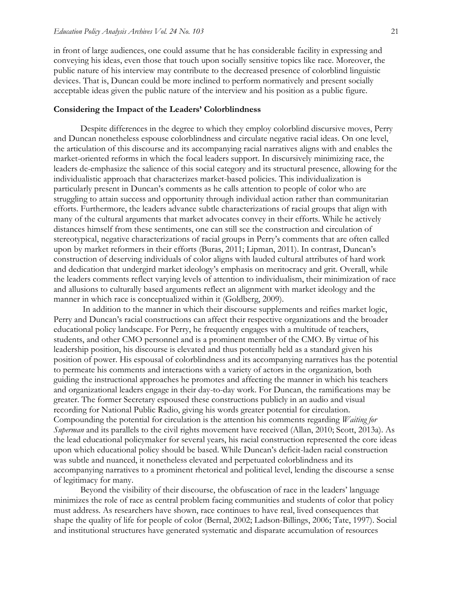in front of large audiences, one could assume that he has considerable facility in expressing and conveying his ideas, even those that touch upon socially sensitive topics like race. Moreover, the public nature of his interview may contribute to the decreased presence of colorblind linguistic devices. That is, Duncan could be more inclined to perform normatively and present socially acceptable ideas given the public nature of the interview and his position as a public figure.

#### **Considering the Impact of the Leaders' Colorblindness**

Despite differences in the degree to which they employ colorblind discursive moves, Perry and Duncan nonetheless espouse colorblindness and circulate negative racial ideas. On one level, the articulation of this discourse and its accompanying racial narratives aligns with and enables the market-oriented reforms in which the focal leaders support. In discursively minimizing race, the leaders de-emphasize the salience of this social category and its structural presence, allowing for the individualistic approach that characterizes market-based policies. This individualization is particularly present in Duncan's comments as he calls attention to people of color who are struggling to attain success and opportunity through individual action rather than communitarian efforts. Furthermore, the leaders advance subtle characterizations of racial groups that align with many of the cultural arguments that market advocates convey in their efforts. While he actively distances himself from these sentiments, one can still see the construction and circulation of stereotypical, negative characterizations of racial groups in Perry's comments that are often called upon by market reformers in their efforts (Buras, 2011; Lipman, 2011). In contrast, Duncan's construction of deserving individuals of color aligns with lauded cultural attributes of hard work and dedication that undergird market ideology's emphasis on meritocracy and grit. Overall, while the leaders comments reflect varying levels of attention to individualism, their minimization of race and allusions to culturally based arguments reflect an alignment with market ideology and the manner in which race is conceptualized within it (Goldberg, 2009).

In addition to the manner in which their discourse supplements and reifies market logic, Perry and Duncan's racial constructions can affect their respective organizations and the broader educational policy landscape. For Perry, he frequently engages with a multitude of teachers, students, and other CMO personnel and is a prominent member of the CMO. By virtue of his leadership position, his discourse is elevated and thus potentially held as a standard given his position of power. His espousal of colorblindness and its accompanying narratives has the potential to permeate his comments and interactions with a variety of actors in the organization, both guiding the instructional approaches he promotes and affecting the manner in which his teachers and organizational leaders engage in their day-to-day work. For Duncan, the ramifications may be greater. The former Secretary espoused these constructions publicly in an audio and visual recording for National Public Radio, giving his words greater potential for circulation. Compounding the potential for circulation is the attention his comments regarding *Waiting for Superman* and its parallels to the civil rights movement have received (Allan, 2010; Scott, 2013a). As the lead educational policymaker for several years, his racial construction represented the core ideas upon which educational policy should be based. While Duncan's deficit-laden racial construction was subtle and nuanced, it nonetheless elevated and perpetuated colorblindness and its accompanying narratives to a prominent rhetorical and political level, lending the discourse a sense of legitimacy for many.

Beyond the visibility of their discourse, the obfuscation of race in the leaders' language minimizes the role of race as central problem facing communities and students of color that policy must address. As researchers have shown, race continues to have real, lived consequences that shape the quality of life for people of color (Bernal, 2002; Ladson-Billings, 2006; Tate, 1997). Social and institutional structures have generated systematic and disparate accumulation of resources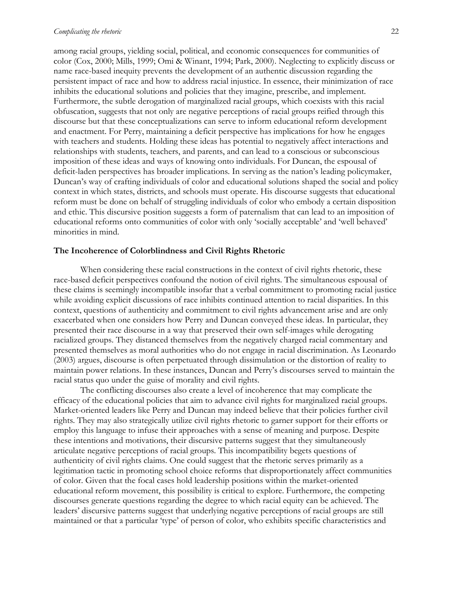among racial groups, yielding social, political, and economic consequences for communities of color (Cox, 2000; Mills, 1999; Omi & Winant, 1994; Park, 2000). Neglecting to explicitly discuss or name race-based inequity prevents the development of an authentic discussion regarding the persistent impact of race and how to address racial injustice. In essence, their minimization of race inhibits the educational solutions and policies that they imagine, prescribe, and implement. Furthermore, the subtle derogation of marginalized racial groups, which coexists with this racial obfuscation, suggests that not only are negative perceptions of racial groups reified through this discourse but that these conceptualizations can serve to inform educational reform development and enactment. For Perry, maintaining a deficit perspective has implications for how he engages with teachers and students. Holding these ideas has potential to negatively affect interactions and relationships with students, teachers, and parents, and can lead to a conscious or subconscious imposition of these ideas and ways of knowing onto individuals. For Duncan, the espousal of deficit-laden perspectives has broader implications. In serving as the nation's leading policymaker, Duncan's way of crafting individuals of color and educational solutions shaped the social and policy context in which states, districts, and schools must operate. His discourse suggests that educational reform must be done on behalf of struggling individuals of color who embody a certain disposition and ethic. This discursive position suggests a form of paternalism that can lead to an imposition of educational reforms onto communities of color with only 'socially acceptable' and 'well behaved' minorities in mind.

#### **The Incoherence of Colorblindness and Civil Rights Rhetoric**

When considering these racial constructions in the context of civil rights rhetoric, these race-based deficit perspectives confound the notion of civil rights. The simultaneous espousal of these claims is seemingly incompatible insofar that a verbal commitment to promoting racial justice while avoiding explicit discussions of race inhibits continued attention to racial disparities. In this context, questions of authenticity and commitment to civil rights advancement arise and are only exacerbated when one considers how Perry and Duncan conveyed these ideas. In particular, they presented their race discourse in a way that preserved their own self-images while derogating racialized groups. They distanced themselves from the negatively charged racial commentary and presented themselves as moral authorities who do not engage in racial discrimination. As Leonardo (2003) argues, discourse is often perpetuated through dissimulation or the distortion of reality to maintain power relations. In these instances, Duncan and Perry's discourses served to maintain the racial status quo under the guise of morality and civil rights.

The conflicting discourses also create a level of incoherence that may complicate the efficacy of the educational policies that aim to advance civil rights for marginalized racial groups. Market-oriented leaders like Perry and Duncan may indeed believe that their policies further civil rights. They may also strategically utilize civil rights rhetoric to garner support for their efforts or employ this language to infuse their approaches with a sense of meaning and purpose. Despite these intentions and motivations, their discursive patterns suggest that they simultaneously articulate negative perceptions of racial groups. This incompatibility begets questions of authenticity of civil rights claims. One could suggest that the rhetoric serves primarily as a legitimation tactic in promoting school choice reforms that disproportionately affect communities of color. Given that the focal cases hold leadership positions within the market-oriented educational reform movement, this possibility is critical to explore. Furthermore, the competing discourses generate questions regarding the degree to which racial equity can be achieved. The leaders' discursive patterns suggest that underlying negative perceptions of racial groups are still maintained or that a particular 'type' of person of color, who exhibits specific characteristics and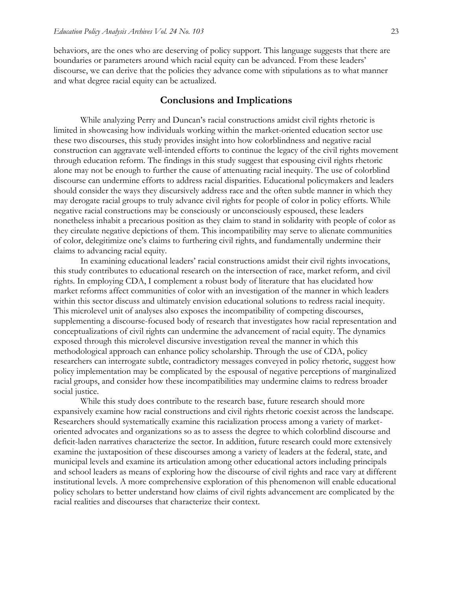behaviors, are the ones who are deserving of policy support. This language suggests that there are boundaries or parameters around which racial equity can be advanced. From these leaders' discourse, we can derive that the policies they advance come with stipulations as to what manner and what degree racial equity can be actualized.

#### **Conclusions and Implications**

While analyzing Perry and Duncan's racial constructions amidst civil rights rhetoric is limited in showcasing how individuals working within the market-oriented education sector use these two discourses, this study provides insight into how colorblindness and negative racial construction can aggravate well-intended efforts to continue the legacy of the civil rights movement through education reform. The findings in this study suggest that espousing civil rights rhetoric alone may not be enough to further the cause of attenuating racial inequity. The use of colorblind discourse can undermine efforts to address racial disparities. Educational policymakers and leaders should consider the ways they discursively address race and the often subtle manner in which they may derogate racial groups to truly advance civil rights for people of color in policy efforts. While negative racial constructions may be consciously or unconsciously espoused, these leaders nonetheless inhabit a precarious position as they claim to stand in solidarity with people of color as they circulate negative depictions of them. This incompatibility may serve to alienate communities of color, delegitimize one's claims to furthering civil rights, and fundamentally undermine their claims to advancing racial equity.

In examining educational leaders' racial constructions amidst their civil rights invocations, this study contributes to educational research on the intersection of race, market reform, and civil rights. In employing CDA, I complement a robust body of literature that has elucidated how market reforms affect communities of color with an investigation of the manner in which leaders within this sector discuss and ultimately envision educational solutions to redress racial inequity. This microlevel unit of analyses also exposes the incompatibility of competing discourses, supplementing a discourse-focused body of research that investigates how racial representation and conceptualizations of civil rights can undermine the advancement of racial equity. The dynamics exposed through this microlevel discursive investigation reveal the manner in which this methodological approach can enhance policy scholarship. Through the use of CDA, policy researchers can interrogate subtle, contradictory messages conveyed in policy rhetoric, suggest how policy implementation may be complicated by the espousal of negative perceptions of marginalized racial groups, and consider how these incompatibilities may undermine claims to redress broader social justice.

While this study does contribute to the research base, future research should more expansively examine how racial constructions and civil rights rhetoric coexist across the landscape. Researchers should systematically examine this racialization process among a variety of marketoriented advocates and organizations so as to assess the degree to which colorblind discourse and deficit-laden narratives characterize the sector. In addition, future research could more extensively examine the juxtaposition of these discourses among a variety of leaders at the federal, state, and municipal levels and examine its articulation among other educational actors including principals and school leaders as means of exploring how the discourse of civil rights and race vary at different institutional levels. A more comprehensive exploration of this phenomenon will enable educational policy scholars to better understand how claims of civil rights advancement are complicated by the racial realities and discourses that characterize their context.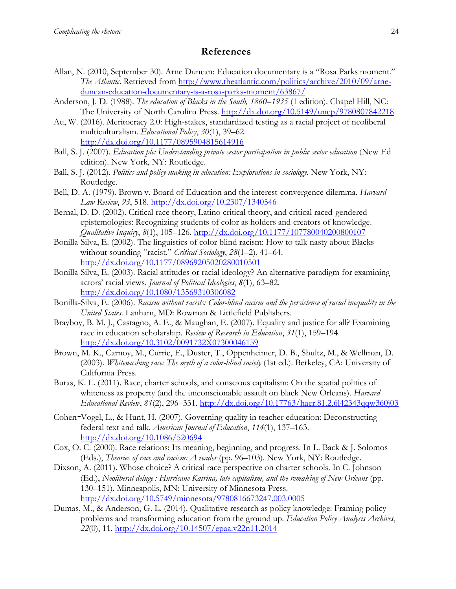#### **References**

- Allan, N. (2010, September 30). Arne Duncan: Education documentary is a "Rosa Parks moment." *The Atlantic*. Retrieved from [http://www.theatlantic.com/politics/archive/2010/09/arne](http://www.theatlantic.com/politics/archive/2010/09/arne-duncan-education-documentary-is-a-rosa-parks-moment/63867/)[duncan-education-documentary-is-a-rosa-parks-moment/63867/](http://www.theatlantic.com/politics/archive/2010/09/arne-duncan-education-documentary-is-a-rosa-parks-moment/63867/)
- Anderson, J. D. (1988). *The education of Blacks in the South, 1860–1935* (1 edition). Chapel Hill, NC: The University of North Carolina Press. <http://dx.doi.org/10.5149/uncp/9780807842218>
- Au, W. (2016). Meritocracy 2.0: High-stakes, standardized testing as a racial project of neoliberal multiculturalism. *Educational Policy*, *30*(1), 39–62. <http://dx.doi.org/10.1177/0895904815614916>
- Ball, S. J. (2007). *Education plc: Understanding private sector participation in public sector education* (New Ed edition). New York, NY: Routledge.
- Ball, S. J. (2012). *Politics and policy making in education: Explorations in sociology*. New York, NY: Routledge.
- Bell, D. A. (1979). Brown v. Board of Education and the interest-convergence dilemma. *Harvard Law Review*, *93*, 518. <http://dx.doi.org/10.2307/1340546>
- Bernal, D. D. (2002). Critical race theory, Latino critical theory, and critical raced-gendered epistemologies: Recognizing students of color as holders and creators of knowledge. *Qualitative Inquiry*, *8*(1), 105–126.<http://dx.doi.org/10.1177/107780040200800107>
- Bonilla-Silva, E. (2002). The linguistics of color blind racism: How to talk nasty about Blacks without sounding "racist." *Critical Sociology*, *28*(1–2), 41–64. <http://dx.doi.org/10.1177/08969205020280010501>
- Bonilla-Silva, E. (2003). Racial attitudes or racial ideology? An alternative paradigm for examining actors' racial views. *Journal of Political Ideologies*, *8*(1), 63–82. <http://dx.doi.org/10.1080/13569310306082>
- Bonilla-Silva, E. (2006). *Racism without racists: Color-blind racism and the persistence of racial inequality in the United States*. Lanham, MD: Rowman & Littlefield Publishers.
- Brayboy, B. M. J., Castagno, A. E., & Maughan, E. (2007). Equality and justice for all? Examining race in education scholarship. *Review of Research in Education*, *31*(1), 159–194. <http://dx.doi.org/10.3102/0091732X07300046159>
- Brown, M. K., Carnoy, M., Currie, E., Duster, T., Oppenheimer, D. B., Shultz, M., & Wellman, D. (2003). *Whitewashing race: The myth of a color-blind society* (1st ed.). Berkeley, CA: University of California Press.
- Buras, K. L. (2011). Race, charter schools, and conscious capitalism: On the spatial politics of whiteness as property (and the unconscionable assault on black New Orleans). *Harvard Educational Review*, *81*(2), 296–331. <http://dx.doi.org/10.17763/haer.81.2.6l42343qqw360j03>
- Cohen*-*Vogel, L., & Hunt, H. (2007). Governing quality in teacher education: Deconstructing federal text and talk. *American Journal of Education*, *114*(1), 137–163. <http://dx.doi.org/10.1086/520694>
- Cox, O. C. (2000). Race relations: Its meaning, beginning, and progress. In L. Back & J. Solomos (Eds.), *Theories of race and racism: A reader* (pp. 96–103). New York, NY: Routledge.
- Dixson, A. (2011). Whose choice? A critical race perspective on charter schools. In C. Johnson (Ed.), *Neoliberal deluge : Hurricane Katrina, late capitalism, and the remaking of New Orleans* (pp. 130–151). Minneapolis, MN: University of Minnesota Press. <http://dx.doi.org/10.5749/minnesota/9780816673247.003.0005>
- Dumas, M., & Anderson, G. L. (2014). Qualitative research as policy knowledge: Framing policy problems and transforming education from the ground up. *Education Policy Analysis Archives*, *22*(0), 11.<http://dx.doi.org/10.14507/epaa.v22n11.2014>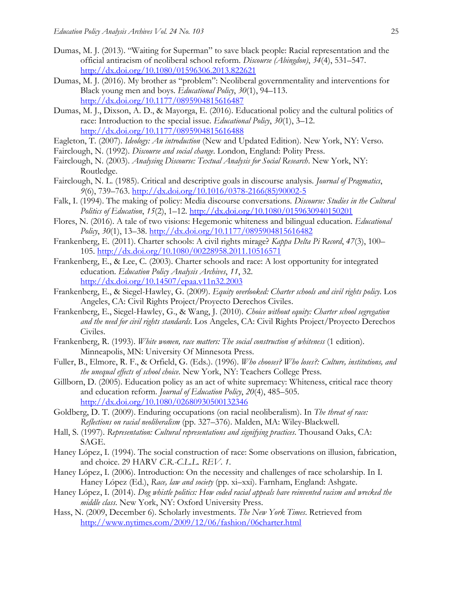- Dumas, M. J. (2013). "Waiting for Superman" to save black people: Racial representation and the official antiracism of neoliberal school reform. *Discourse (Abingdon)*, *34*(4), 531–547. <http://dx.doi.org/10.1080/01596306.2013.822621>
- Dumas, M. J. (2016). My brother as "problem": Neoliberal governmentality and interventions for Black young men and boys. *Educational Policy*, *30*(1), 94–113. <http://dx.doi.org/10.1177/0895904815616487>
- Dumas, M. J., Dixson, A. D., & Mayorga, E. (2016). Educational policy and the cultural politics of race: Introduction to the special issue. *Educational Policy*, *30*(1), 3–12. <http://dx.doi.org/10.1177/0895904815616488>
- Eagleton, T. (2007). *Ideology: An introduction* (New and Updated Edition). New York, NY: Verso.
- Fairclough, N. (1992). *Discourse and social change*. London, England: Polity Press.
- Fairclough, N. (2003). *Analysing Discourse: Textual Analysis for Social Research*. New York, NY: Routledge.
- Fairclough, N. L. (1985). Critical and descriptive goals in discourse analysis. *Journal of Pragmatics*, *9*(6), 739–763. [http://dx.doi.org/10.1016/0378-2166\(85\)90002-5](http://dx.doi.org/10.1016/0378-2166%2885%2990002-5)
- Falk, I. (1994). The making of policy: Media discourse conversations. *Discourse: Studies in the Cultural Politics of Education*, *15*(2), 1–12.<http://dx.doi.org/10.1080/0159630940150201>
- Flores, N. (2016). A tale of two visions: Hegemonic whiteness and bilingual education. *Educational Policy*, *30*(1), 13–38.<http://dx.doi.org/10.1177/0895904815616482>
- Frankenberg, E. (2011). Charter schools: A civil rights mirage? *Kappa Delta Pi Record*, *47*(3), 100– 105.<http://dx.doi.org/10.1080/00228958.2011.10516571>
- Frankenberg, E., & Lee, C. (2003). Charter schools and race: A lost opportunity for integrated education. *Education Policy Analysis Archives*, *11*, 32. <http://dx.doi.org/10.14507/epaa.v11n32.2003>
- Frankenberg, E., & Siegel-Hawley, G. (2009). *Equity overlooked: Charter schools and civil rights policy*. Los Angeles, CA: Civil Rights Project/Proyecto Derechos Civiles.
- Frankenberg, E., Siegel-Hawley, G., & Wang, J. (2010). *Choice without equity: Charter school segregation and the need for civil rights standards*. Los Angeles, CA: Civil Rights Project/Proyecto Derechos Civiles.
- Frankenberg, R. (1993). *White women, race matters: The social construction of whiteness* (1 edition). Minneapolis, MN: University Of Minnesota Press.
- Fuller, B., Elmore, R. F., & Orfield, G. (Eds.). (1996). *Who chooses? Who loses?: Culture, institutions, and the unequal effects of school choice*. New York, NY: Teachers College Press.
- Gillborn, D. (2005). Education policy as an act of white supremacy: Whiteness, critical race theory and education reform. *Journal of Education Policy*, *20*(4), 485–505. <http://dx.doi.org/10.1080/02680930500132346>
- Goldberg, D. T. (2009). Enduring occupations (on racial neoliberalism). In *The threat of race: Reflections on racial neoliberalism* (pp. 327–376). Malden, MA: Wiley-Blackwell.
- Hall, S. (1997). *Representation: Cultural representations and signifying practices*. Thousand Oaks, CA: SAGE.
- Haney López, I. (1994). The social construction of race: Some observations on illusion, fabrication, and choice. 29 HARV *C.R.-C.L.L. REV*. *1*.
- Haney López, I. (2006). Introduction: On the necessity and challenges of race scholarship. In I. Haney López (Ed.), *Race, law and society* (pp. xi–xxi). Farnham, England: Ashgate.
- Haney López, I. (2014). *Dog whistle politics: How coded racial appeals have reinvented racism and wrecked the middle class*. New York, NY: Oxford University Press.
- Hass, N. (2009, December 6). Scholarly investments. *The New York Times*. Retrieved from <http://www.nytimes.com/2009/12/06/fashion/06charter.html>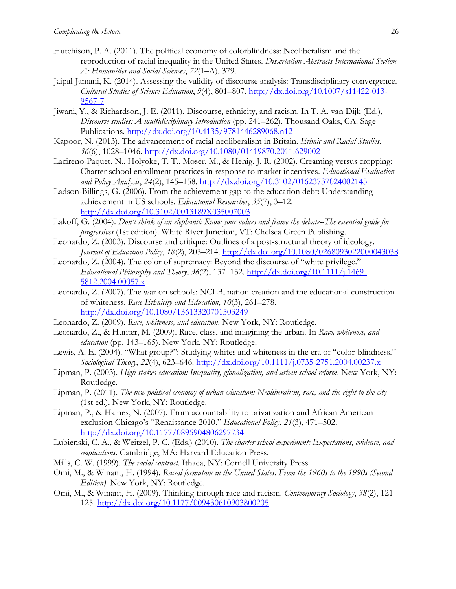- Hutchison, P. A. (2011). The political economy of colorblindness: Neoliberalism and the reproduction of racial inequality in the United States. *Dissertation Abstracts International Section A: Humanities and Social Sciences*, *72*(1–A), 379.
- Jaipal-Jamani, K. (2014). Assessing the validity of discourse analysis: Transdisciplinary convergence. *Cultural Studies of Science Education*, *9*(4), 801–807. [http://dx.doi.org/10.1007/s11422-013-](http://dx.doi.org/10.1007/s11422-013-9567-7) [9567-7](http://dx.doi.org/10.1007/s11422-013-9567-7)
- Jiwani, Y., & Richardson, J. E. (2011). Discourse, ethnicity, and racism. In T. A. van Dijk (Ed.), *Discourse studies: A multidisciplinary introduction* (pp. 241–262). Thousand Oaks, CA: Sage Publications. <http://dx.doi.org/10.4135/9781446289068.n12>
- Kapoor, N. (2013). The advancement of racial neoliberalism in Britain. *Ethnic and Racial Studies*, *36*(6), 1028–1046.<http://dx.doi.org/10.1080/01419870.2011.629002>
- Lacireno-Paquet, N., Holyoke, T. T., Moser, M., & Henig, J. R. (2002). Creaming versus cropping: Charter school enrollment practices in response to market incentives. *Educational Evaluation and Policy Analysis*, *24*(2), 145–158.<http://dx.doi.org/10.3102/01623737024002145>
- Ladson-Billings, G. (2006). From the achievement gap to the education debt: Understanding achievement in US schools. *Educational Researcher*, *35*(7), 3–12. <http://dx.doi.org/10.3102/0013189X035007003>
- Lakoff, G. (2004). *Don't think of an elephant!: Know your values and frame the debate--The essential guide for progressives* (1st edition). White River Junction, VT: Chelsea Green Publishing.
- Leonardo, Z. (2003). Discourse and critique: Outlines of a post-structural theory of ideology. *Journal of Education Policy*, *18*(2), 203–214. <http://dx.doi.org/10.1080/0268093022000043038>
- Leonardo, Z. (2004). The color of supremacy: Beyond the discourse of "white privilege." *Educational Philosophy and Theory*, *36*(2), 137–152. [http://dx.doi.org/10.1111/j.1469-](http://dx.doi.org/10.1111/j.1469-5812.2004.00057.x) [5812.2004.00057.x](http://dx.doi.org/10.1111/j.1469-5812.2004.00057.x)
- Leonardo, Z. (2007). The war on schools: NCLB, nation creation and the educational construction of whiteness. *Race Ethnicity and Education*, *10*(3), 261–278. <http://dx.doi.org/10.1080/13613320701503249>
- Leonardo, Z. (2009). *Race, whiteness, and education*. New York, NY: Routledge.
- Leonardo, Z., & Hunter, M. (2009). Race, class, and imagining the urban. In *Race, whiteness, and education* (pp. 143–165). New York, NY: Routledge.
- Lewis, A. E. (2004). "What group?": Studying whites and whiteness in the era of "color-blindness." *Sociological Theory*, *22*(4), 623–646. <http://dx.doi.org/10.1111/j.0735-2751.2004.00237.x>
- Lipman, P. (2003). *High stakes education: Inequality, globalization, and urban school reform*. New York, NY: Routledge.
- Lipman, P. (2011). *The new political economy of urban education: Neoliberalism, race, and the right to the city* (1st ed.). New York, NY: Routledge.
- Lipman, P., & Haines, N. (2007). From accountability to privatization and African American exclusion Chicago's "Renaissance 2010." *Educational Policy*, *21*(3), 471–502. <http://dx.doi.org/10.1177/0895904806297734>
- Lubienski, C. A., & Weitzel, P. C. (Eds.) (2010). *The charter school experiment: Expectations, evidence, and implications*. Cambridge, MA: Harvard Education Press.
- Mills, C. W. (1999). *The racial contract*. Ithaca, NY: Cornell University Press.
- Omi, M., & Winant, H. (1994). *Racial formation in the United States: From the 1960s to the 1990s (Second Edition)*. New York, NY: Routledge.
- Omi, M., & Winant, H. (2009). Thinking through race and racism. *Contemporary Sociology*, *38*(2), 121– 125. <http://dx.doi.org/10.1177/009430610903800205>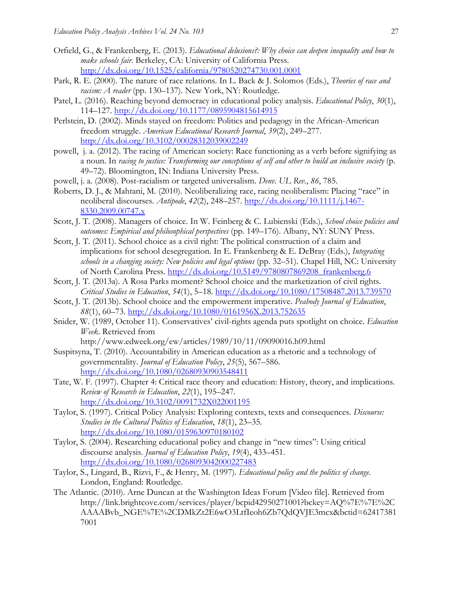- Orfield, G., & Frankenberg, E. (2013). *Educational delusions?: Why choice can deepen inequality and how to make schools fair*. Berkeley, CA: University of California Press. <http://dx.doi.org/10.1525/california/9780520274730.001.0001>
- Park, R. E. (2000). The nature of race relations. In L. Back & J. Solomos (Eds.), *Theories of race and racism: A reader* (pp. 130–137). New York, NY: Routledge.
- Patel, L. (2016). Reaching beyond democracy in educational policy analysis. *Educational Policy*, *30*(1), 114–127.<http://dx.doi.org/10.1177/0895904815614915>
- Perlstein, D. (2002). Minds stayed on freedom: Politics and pedagogy in the African-American freedom struggle. *American Educational Research Journal*, *39*(2), 249–277. <http://dx.doi.org/10.3102/00028312039002249>
- powell, j. a. (2012). The racing of American society: Race functioning as a verb before signifying as a noun. In *racing to justice: Transforming our conceptions of self and other to build an inclusive society* (p. 49–72). Bloomington, IN: Indiana University Press.
- powell, j. a. (2008). Post-racialism or targeted universalism. *Denv. UL Rev.*, *86*, 785.
- Roberts, D. J., & Mahtani, M. (2010). Neoliberalizing race, racing neoliberalism: Placing "race" in neoliberal discourses. *Antipode*, *42*(2), 248–257. [http://dx.doi.org/10.1111/j.1467-](http://dx.doi.org/10.1111/j.1467-8330.2009.00747.x) [8330.2009.00747.x](http://dx.doi.org/10.1111/j.1467-8330.2009.00747.x)
- Scott, J. T. (2008). Managers of choice. In W. Feinberg & C. Lubienski (Eds.), *School choice policies and outcomes: Empirical and philosophical perspectives* (pp. 149–176). Albany, NY: SUNY Press.
- Scott, J. T. (2011). School choice as a civil right: The political construction of a claim and implications for school desegregation. In E. Frankenberg & E. DeBray (Eds.), *Integrating schools in a changing society: New policies and legal options* (pp. 32–51). Chapel Hill, NC: University of North Carolina Press. [http://dx.doi.org/10.5149/9780807869208\\_frankenberg.6](http://dx.doi.org/10.5149/9780807869208_frankenberg.6)
- Scott, J. T. (2013a). A Rosa Parks moment? School choice and the marketization of civil rights. *Critical Studies in Education*, *54*(1), 5–18.<http://dx.doi.org/10.1080/17508487.2013.739570>
- Scott, J. T. (2013b). School choice and the empowerment imperative. *Peabody Journal of Education*, *88*(1), 60–73.<http://dx.doi.org/10.1080/0161956X.2013.752635>
- Snider, W. (1989, October 11). Conservatives' civil-rights agenda puts spotlight on choice. *Education Week*. Retrieved from

http://www.edweek.org/ew/articles/1989/10/11/09090016.h09.html

- Suspitsyna, T. (2010). Accountability in American education as a rhetoric and a technology of governmentality. *Journal of Education Policy*, *25*(5), 567–586. <http://dx.doi.org/10.1080/02680930903548411>
- Tate, W. F. (1997). Chapter 4: Critical race theory and education: History, theory, and implications. *Review of Research in Education*, *22*(1), 195–247. <http://dx.doi.org/10.3102/0091732X022001195>
- Taylor, S. (1997). Critical Policy Analysis: Exploring contexts, texts and consequences. *Discourse: Studies in the Cultural Politics of Education*, *18*(1), 23–35. <http://dx.doi.org/10.1080/0159630970180102>
- Taylor, S. (2004). Researching educational policy and change in "new times": Using critical discourse analysis. *Journal of Education Policy*, *19*(4), 433–451. <http://dx.doi.org/10.1080/0268093042000227483>
- Taylor, S., Lingard, B., Rizvi, F., & Henry, M. (1997). *Educational policy and the politics of change*. London, England: Routledge.
- The Atlantic. (2010). Arne Duncan at the Washington Ideas Forum [Video file]. Retrieved from http://link.brightcove.com/services/player/bcpid42950271001?bckey=AQ%7E%7E%2C AAAABvb\_NGE%7E%2CDMkZt2E6wO3LtfIeoh6Zb7QdQVJE3mcx&bctid=62417381 7001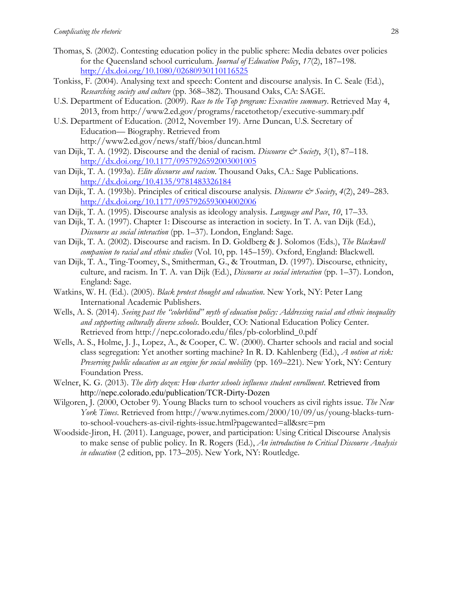- Thomas, S. (2002). Contesting education policy in the public sphere: Media debates over policies for the Queensland school curriculum. *Journal of Education Policy*, *17*(2), 187–198. <http://dx.doi.org/10.1080/02680930110116525>
- Tonkiss, F. (2004). Analysing text and speech: Content and discourse analysis. In C. Seale (Ed.), *Researching society and culture* (pp. 368–382). Thousand Oaks, CA: SAGE.
- U.S. Department of Education. (2009). *Race to the Top program: Executive summary*. Retrieved May 4, 2013, from http://www2.ed.gov/programs/racetothetop/executive-summary.pdf
- U.S. Department of Education. (2012, November 19). Arne Duncan, U.S. Secretary of Education— Biography. Retrieved from http://www2.ed.gov/news/staff/bios/duncan.html
- van Dijk, T. A. (1992). Discourse and the denial of racism. *Discourse & Society*, 3(1), 87–118. <http://dx.doi.org/10.1177/0957926592003001005>
- van Dijk, T. A. (1993a). *Elite discourse and racism*. Thousand Oaks, CA.: Sage Publications. <http://dx.doi.org/10.4135/9781483326184>
- van Dijk, T. A. (1993b). Principles of critical discourse analysis. *Discourse & Society*, 4(2), 249–283. <http://dx.doi.org/10.1177/0957926593004002006>
- van Dijk, T. A. (1995). Discourse analysis as ideology analysis. *Language and Pace*, *10*, 17–33.
- van Dijk, T. A. (1997). Chapter 1: Discourse as interaction in society. In T. A. van Dijk (Ed.), *Discourse as social interaction* (pp. 1–37). London, England: Sage.
- van Dijk, T. A. (2002). Discourse and racism. In D. Goldberg & J. Solomos (Eds.), *The Blackwell companion to racial and ethnic studies* (Vol. 10, pp. 145–159). Oxford, England: Blackwell.
- van Dijk, T. A., Ting-Toomey, S., Smitherman, G., & Troutman, D. (1997). Discourse, ethnicity, culture, and racism. In T. A. van Dijk (Ed.), *Discourse as social interaction* (pp. 1–37). London, England: Sage.
- Watkins, W. H. (Ed.). (2005). *Black protest thought and education*. New York, NY: Peter Lang International Academic Publishers.
- Wells, A. S. (2014). *Seeing past the "colorblind" myth of education policy: Addressing racial and ethnic inequality and supporting culturally diverse schools*. Boulder, CO: National Education Policy Center. Retrieved from http://nepc.colorado.edu/files/pb-colorblind\_0.pdf
- Wells, A. S., Holme, J. J., Lopez, A., & Cooper, C. W. (2000). Charter schools and racial and social class segregation: Yet another sorting machine? In R. D. Kahlenberg (Ed.), *A notion at risk: Preserving public education as an engine for social mobility* (pp. 169–221). New York, NY: Century Foundation Press.
- Welner, K. G. (2013). *The dirty dozen: How charter schools influence student enrollment*. Retrieved from http://nepc.colorado.edu/publication/TCR-Dirty-Dozen
- Wilgoren, J. (2000, October 9). Young Blacks turn to school vouchers as civil rights issue. *The New York Times*. Retrieved from http://www.nytimes.com/2000/10/09/us/young-blacks-turnto-school-vouchers-as-civil-rights-issue.html?pagewanted=all&src=pm
- Woodside-Jiron, H. (2011). Language, power, and participation: Using Critical Discourse Analysis to make sense of public policy. In R. Rogers (Ed.), *An introduction to Critical Discourse Analysis in education* (2 edition, pp. 173–205). New York, NY: Routledge.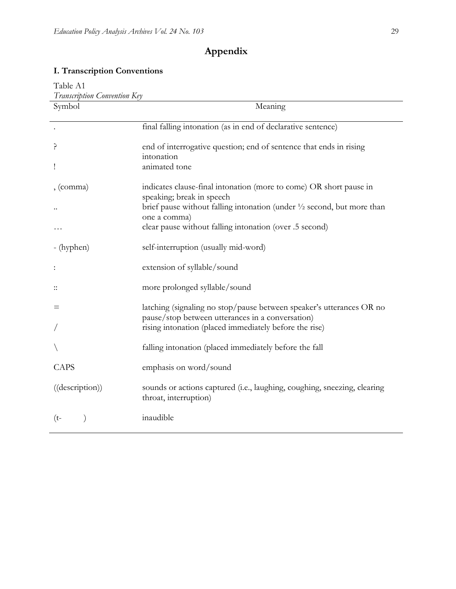## **Appendix**

## **I. Transcription Conventions**

| Table A1                     |                                                                                                                          |  |
|------------------------------|--------------------------------------------------------------------------------------------------------------------------|--|
| Transcription Convention Key |                                                                                                                          |  |
| Symbol                       | Meaning                                                                                                                  |  |
|                              |                                                                                                                          |  |
|                              | final falling intonation (as in end of declarative sentence)                                                             |  |
| ç                            | end of interrogative question; end of sentence that ends in rising<br>intonation                                         |  |
| I                            | animated tone                                                                                                            |  |
| , (comma)                    | indicates clause-final intonation (more to come) OR short pause in<br>speaking; break in speech                          |  |
|                              | brief pause without falling intonation (under $\frac{1}{2}$ second, but more than<br>one a comma)                        |  |
|                              | clear pause without falling intonation (over .5 second)                                                                  |  |
| - (hyphen)                   | self-interruption (usually mid-word)                                                                                     |  |
|                              | extension of syllable/sound                                                                                              |  |
|                              | more prolonged syllable/sound                                                                                            |  |
| $=$                          | latching (signaling no stop/pause between speaker's utterances OR no<br>pause/stop between utterances in a conversation) |  |
|                              | rising intonation (placed immediately before the rise)                                                                   |  |
|                              | falling intonation (placed immediately before the fall                                                                   |  |
| CAPS                         | emphasis on word/sound                                                                                                   |  |
| ((description))              | sounds or actions captured (i.e., laughing, coughing, sneezing, clearing<br>throat, interruption)                        |  |
| $(t-$                        | inaudible                                                                                                                |  |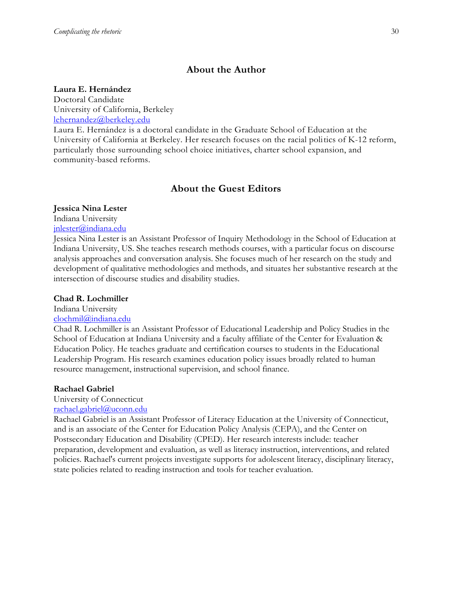## **About the Author**

#### **Laura E. Hernández**

Doctoral Candidate University of California, Berkeley [lehernandez@berkeley.edu](mailto:lehernandez@berkley.edu)

Laura E. Hernández is a doctoral candidate in the Graduate School of Education at the University of California at Berkeley. Her research focuses on the racial politics of K-12 reform, particularly those surrounding school choice initiatives, charter school expansion, and community-based reforms.

## **About the Guest Editors**

#### **Jessica Nina Lester**

Indiana University

[jnlester@indiana.edu](mailto:clochmil@indiana.edu)

Jessica Nina Lester is an Assistant Professor of Inquiry Methodology in the School of Education at Indiana University, US. She teaches research methods courses, with a particular focus on discourse analysis approaches and conversation analysis. She focuses much of her research on the study and development of qualitative methodologies and methods, and situates her substantive research at the intersection of discourse studies and disability studies.

#### **Chad R. Lochmiller**

Indiana University

#### [clochmil@indiana.edu](mailto:clochmil@indiana.edu)

Chad R. Lochmiller is an Assistant Professor of Educational Leadership and Policy Studies in the School of Education at Indiana University and a faculty affiliate of the Center for Evaluation & Education Policy. He teaches graduate and certification courses to students in the Educational Leadership Program. His research examines education policy issues broadly related to human resource management, instructional supervision, and school finance.

#### **Rachael Gabriel**

University of Connecticut

## [rachael.gabriel@uconn.edu](mailto:rachael.gabriel@uconn.edu)

Rachael Gabriel is an Assistant Professor of Literacy Education at the University of Connecticut, and is an associate of the Center for Education Policy Analysis (CEPA), and the Center on Postsecondary Education and Disability (CPED). Her research interests include: teacher preparation, development and evaluation, as well as literacy instruction, interventions, and related policies. Rachael's current projects investigate supports for adolescent literacy, disciplinary literacy, state policies related to reading instruction and tools for teacher evaluation.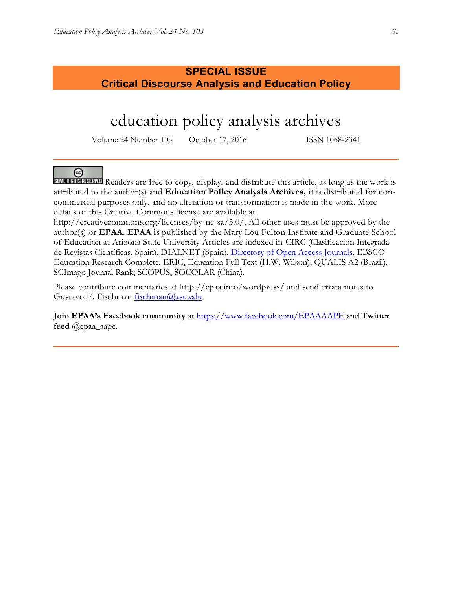## **SPECIAL ISSUE Critical Discourse Analysis and Education Policy**

## education policy analysis archives

Volume 24 Number 103 October 17, 2016 ISSN 1068-2341

### $(c)$

SOME RIGHTS RESERVED Readers are free to copy, display, and distribute this article, as long as the work is attributed to the author(s) and **Education Policy Analysis Archives,** it is distributed for noncommercial purposes only, and no alteration or transformation is made in the work. More details of this Creative Commons license are available at

http://creativecommons.org/licenses/by-nc-sa/3.0/. All other uses must be approved by the author(s) or **EPAA**. **EPAA** is published by the Mary Lou Fulton Institute and Graduate School of Education at Arizona State University Articles are indexed in CIRC (Clasificación Integrada de Revistas Científicas, Spain), DIALNET (Spain), [Directory of Open Access Journals,](http://www.doaj.org/) EBSCO Education Research Complete, ERIC, Education Full Text (H.W. Wilson), QUALIS A2 (Brazil), SCImago Journal Rank; SCOPUS, SOCOLAR (China).

Please contribute commentaries at http://epaa.info/wordpress/ and send errata notes to Gustavo E. Fischman [fischman@asu.edu](mailto:fischman@asu.edu)

**Join EPAA's Facebook community** at<https://www.facebook.com/EPAAAAPE> and **Twitter feed** @epaa\_aape.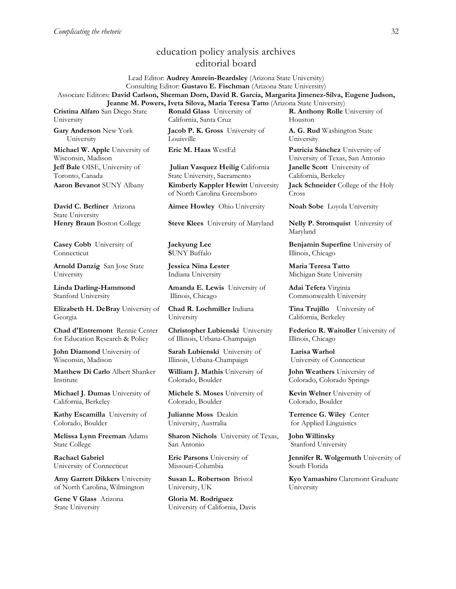## education policy analysis archives editorial board

Lead Editor: **Audrey Amrein-Beardsley** (Arizona State University) Consulting Editor: **Gustavo E. Fischman** (Arizona State University) Associate Editors: **David Carlson, Sherman Dorn, David R. Garcia, Margarita Jimenez-Silva, Eugene Judson, Jeanne M. Powers, Iveta Silova, Maria Teresa Tatto** (Arizona State University)

**Cristina Alfaro** San Diego State University

**Gary Anderson** New York University

**Michael W. Apple** University of Wisconsin, Madison **Jeff Bale** OISE, University of Toronto, Canada

**David C. Berliner** Arizona State University

**Casey Cobb** University of Connecticut

**Arnold Danzig** San Jose State University

**Linda Darling-Hammond**  Stanford University

**Elizabeth H. DeBray** University of Georgia

**Chad d'Entremont** Rennie Center for Education Research & Policy

**John Diamond** University of Wisconsin, Madison

**Matthew Di Carlo** Albert Shanker Institute

**Michael J. Dumas** University of California, Berkeley

**Kathy Escamilla** University of Colorado, Boulder

**Melissa Lynn Freeman** Adams State College

**Rachael Gabriel** University of Connecticut

**Amy Garrett Dikkers** University of North Carolina, Wilmington

**Gene V Glass** Arizona State University

**Ronald Glass** University of California, Santa Cruz

**Jacob P. K. Gross** University of Louisville

**Julian Vasquez Heilig** California State University, Sacramento **Aaron Bevanot** SUNY Albany **Kimberly Kappler Hewitt** University of North Carolina Greensboro

**Aimee Howley** Ohio University **Noah Sobe** Loyola University

**Henry Braun** Boston College **Steve Klees** University of Maryland **Nelly P. Stromquist** University of

**Jaekyung Lee S**UNY Buffalo

**Jessica Nina Lester** Indiana University

**Amanda E. Lewis** University of Illinois, Chicago

**Chad R. Lochmiller** Indiana University

**Christopher Lubienski** University of Illinois, Urbana-Champaign

**Sarah Lubienski** University of Illinois, Urbana-Champaign

**William J. Mathis** University of Colorado, Boulder

**Michele S. Moses** University of Colorado, Boulder

**Julianne Moss** Deakin University, Australia

**Sharon Nichols** University of Texas, San Antonio

**Eric Parsons** University of Missouri-Columbia

**Susan L. Robertson** Bristol University, UK

**Gloria M. Rodriguez** University of California, Davis **R. Anthony Rolle** University of Houston

**A. G. Rud** Washington State University

**Eric M. Haas** WestEd **Patricia Sánchez** University of University of Texas, San Antonio **Janelle Scott** University of California, Berkeley **Jack Schneider** College of the Holy Cross

Maryland

**Benjamin Superfine** University of Illinois, Chicago

**Maria Teresa Tatto**  Michigan State University

**Adai Tefera** Virginia Commonwealth University

**Tina Trujillo** University of California, Berkeley

**Federico R. Waitoller** University of Illinois, Chicago

**Larisa Warhol** University of Connecticut

**John Weathers** University of Colorado, Colorado Springs

**Kevin Welner** University of Colorado, Boulder

**Terrence G. Wiley** Center for Applied Linguistics

**John Willinsky**  Stanford University

**Jennifer R. Wolgemuth** University of South Florida

**Kyo Yamashiro** Claremont Graduate University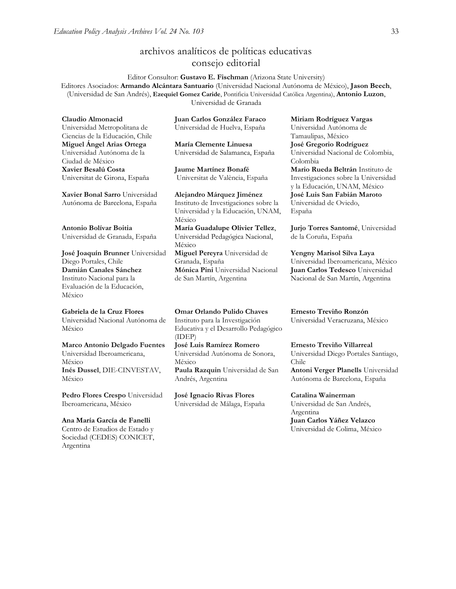## archivos analíticos de políticas educativas consejo editorial

Editor Consultor: **Gustavo E. Fischman** (Arizona State University) Editores Asociados: **Armando Alcántara Santuario** (Universidad Nacional Autónoma de México), **Jason Beech**, (Universidad de San Andrés), **Ezequiel Gomez Caride**, Pontificia Universidad Católica Argentina), **Antonio Luzon**, Universidad de Granada

**Claudio Almonacid** Universidad Metropolitana de Ciencias de la Educación, Chile **Miguel Ángel Arias Ortega**  Universidad Autónoma de la Ciudad de México **Xavier Besalú Costa**  Universitat de Girona, España

**[Xavier Bonal](javascript:openRTWindow() Sarro** Universidad Autónoma de Barcelona, España

**[Antonio Bolívar](javascript:openRTWindow() Boitia** Universidad de Granada, España

**[José Joaquín Brunner](javascript:openRTWindow()** Universidad Diego Portales, Chile **[Damián Canales Sánchez](javascript:openRTWindow()** Instituto Nacional para la Evaluación de la Educación, México

#### **Gabriela de la Cruz Flores**

Universidad Nacional Autónoma de México

**[Marco Antonio Delgado Fuentes](javascript:openRTWindow()** Universidad Iberoamericana,

México **[Inés Dussel](javascript:openRTWindow()**, DIE-CINVESTAV, México

**[Pedro Flores Crespo](javascript:openRTWindow()** Universidad Iberoamericana, México

#### **Ana María García de Fanelli**

Centro de Estudios de Estado y Sociedad (CEDES) CONICET, Argentina

**Juan Carlos González Faraco**  Universidad de Huelva, España

**María Clemente Linuesa**  Universidad de Salamanca, España

**Jaume Martínez Bonafé** Universitat de València, España

**Alejandro Márquez Jiménez**  Instituto de Investigaciones sobre la Universidad y la Educación, UNAM, México **María Guadalupe Olivier Tellez**, Universidad Pedagógica Nacional, México **[Miguel Pereyra](javascript:openRTWindow()** Universidad de Granada, España **[Mónica Pini](javascript:openRTWindow()** Universidad Nacional de San Martín, Argentina

**Omar Orlando Pulido Chaves** Instituto para la Investigación Educativa y el Desarrollo Pedagógico (IDEP) **[José Luis Ramírez](javascript:openRTWindow() Romero**

Universidad Autónoma de Sonora, México **[Paula Razquin](javascript:openRTWindow()** Universidad de San Andrés, Argentina

**José Ignacio Rivas Flores** Universidad de Málaga, España

**[Miriam Rodríguez Vargas](javascript:openRTWindow()** Universidad Autónoma de Tamaulipas, México **José Gregorio Rodríguez**  Universidad Nacional de Colombia, Colombia **[Mario Rueda Beltrán](javascript:openRTWindow()** Instituto de Investigaciones sobre la Universidad y la Educación, UNAM, México **José Luis San Fabián Maroto**  Universidad de Oviedo, España

**[Jurjo Torres Santomé](javascript:openRTWindow()**, Universidad de la Coruña, España

**[Yengny Marisol Silva Laya](javascript:openRTWindow()** Universidad Iberoamericana, México **Juan Carlos Tedesco** Universidad Nacional de San Martín, Argentina

**Ernesto Treviño Ronzón** Universidad Veracruzana, México

**[Ernesto Treviño](javascript:openRTWindow() Villarreal** Universidad Diego Portales Santiago, Chile **[Antoni Verger Planells](javascript:openRTWindow()** Universidad Autónoma de Barcelona, España

**[Catalina Wainerman](javascript:openRTWindow()** Universidad de San Andrés, Argentina **Juan Carlos Yáñez Velazco** Universidad de Colima, México